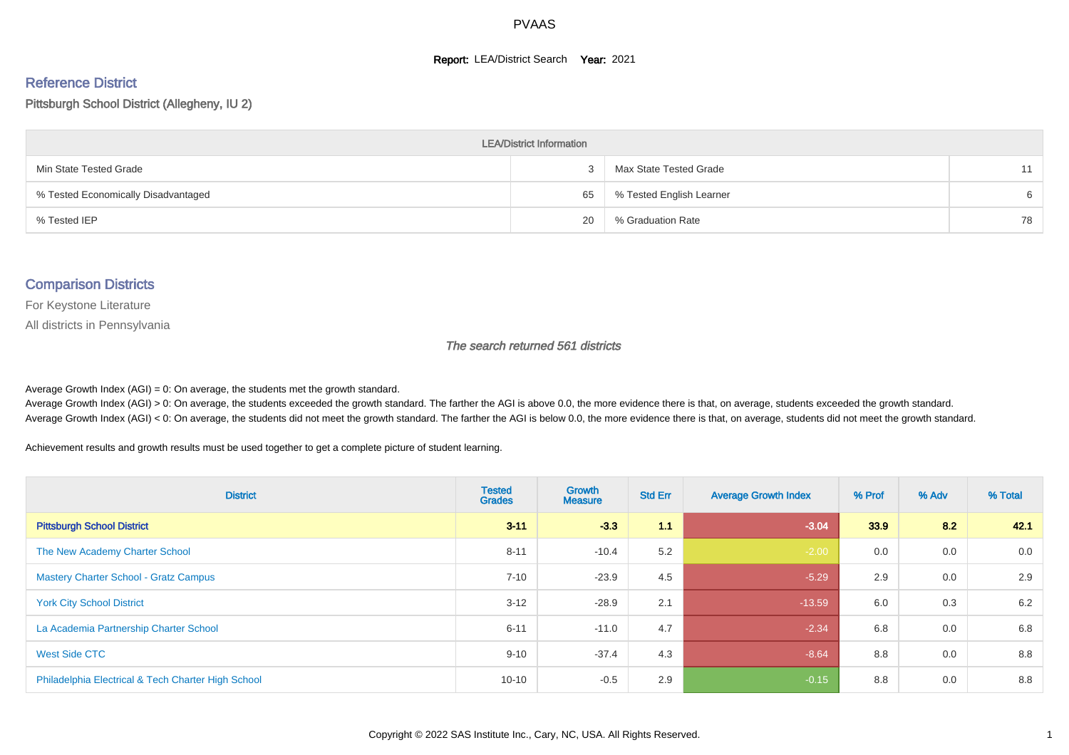#### **Report: LEA/District Search Year: 2021**

#### Reference District

#### Pittsburgh School District (Allegheny, IU 2)

| <b>LEA/District Information</b>     |    |                          |    |  |  |  |  |  |  |
|-------------------------------------|----|--------------------------|----|--|--|--|--|--|--|
| Min State Tested Grade              |    | Max State Tested Grade   | 11 |  |  |  |  |  |  |
| % Tested Economically Disadvantaged | 65 | % Tested English Learner | 6  |  |  |  |  |  |  |
| % Tested IEP                        | 20 | % Graduation Rate        | 78 |  |  |  |  |  |  |

#### Comparison Districts

For Keystone Literature

All districts in Pennsylvania

The search returned 561 districts

Average Growth Index  $(AGI) = 0$ : On average, the students met the growth standard.

Average Growth Index (AGI) > 0: On average, the students exceeded the growth standard. The farther the AGI is above 0.0, the more evidence there is that, on average, students exceeded the growth standard. Average Growth Index (AGI) < 0: On average, the students did not meet the growth standard. The farther the AGI is below 0.0, the more evidence there is that, on average, students did not meet the growth standard.

Achievement results and growth results must be used together to get a complete picture of student learning.

| <b>District</b>                                    | <b>Tested</b><br><b>Grades</b> | <b>Growth</b><br><b>Measure</b> | <b>Std Err</b> | <b>Average Growth Index</b> | % Prof | % Adv | % Total |
|----------------------------------------------------|--------------------------------|---------------------------------|----------------|-----------------------------|--------|-------|---------|
| <b>Pittsburgh School District</b>                  | $3 - 11$                       | $-3.3$                          | 1.1            | $-3.04$                     | 33.9   | 8.2   | 42.1    |
| The New Academy Charter School                     | $8 - 11$                       | $-10.4$                         | 5.2            | $-2.00$                     | 0.0    | 0.0   | 0.0     |
| <b>Mastery Charter School - Gratz Campus</b>       | $7 - 10$                       | $-23.9$                         | 4.5            | $-5.29$                     | 2.9    | 0.0   | 2.9     |
| <b>York City School District</b>                   | $3 - 12$                       | $-28.9$                         | 2.1            | $-13.59$                    | 6.0    | 0.3   | 6.2     |
| La Academia Partnership Charter School             | $6 - 11$                       | $-11.0$                         | 4.7            | $-2.34$                     | 6.8    | 0.0   | 6.8     |
| West Side CTC                                      | $9 - 10$                       | $-37.4$                         | 4.3            | $-8.64$                     | 8.8    | 0.0   | 8.8     |
| Philadelphia Electrical & Tech Charter High School | $10 - 10$                      | $-0.5$                          | 2.9            | $-0.15$                     | 8.8    | 0.0   | 8.8     |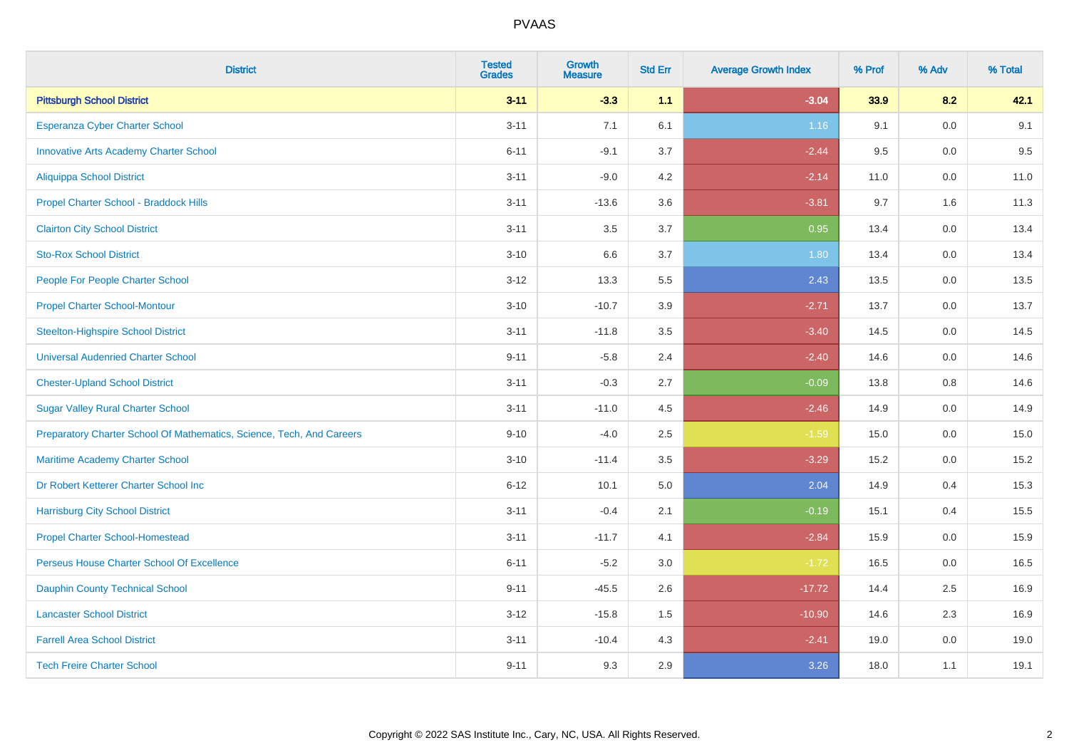| <b>District</b>                                                       | <b>Tested</b><br><b>Grades</b> | <b>Growth</b><br><b>Measure</b> | <b>Std Err</b> | <b>Average Growth Index</b> | % Prof | % Adv   | % Total |
|-----------------------------------------------------------------------|--------------------------------|---------------------------------|----------------|-----------------------------|--------|---------|---------|
| <b>Pittsburgh School District</b>                                     | $3 - 11$                       | $-3.3$                          | 1.1            | $-3.04$                     | 33.9   | 8.2     | 42.1    |
| <b>Esperanza Cyber Charter School</b>                                 | $3 - 11$                       | 7.1                             | 6.1            | 1.16                        | 9.1    | 0.0     | 9.1     |
| <b>Innovative Arts Academy Charter School</b>                         | $6 - 11$                       | $-9.1$                          | 3.7            | $-2.44$                     | 9.5    | 0.0     | 9.5     |
| Aliquippa School District                                             | $3 - 11$                       | $-9.0$                          | 4.2            | $-2.14$                     | 11.0   | $0.0\,$ | 11.0    |
| Propel Charter School - Braddock Hills                                | $3 - 11$                       | $-13.6$                         | 3.6            | $-3.81$                     | 9.7    | 1.6     | 11.3    |
| <b>Clairton City School District</b>                                  | $3 - 11$                       | 3.5                             | 3.7            | 0.95                        | 13.4   | 0.0     | 13.4    |
| <b>Sto-Rox School District</b>                                        | $3 - 10$                       | 6.6                             | 3.7            | 1.80                        | 13.4   | 0.0     | 13.4    |
| People For People Charter School                                      | $3 - 12$                       | 13.3                            | 5.5            | 2.43                        | 13.5   | 0.0     | 13.5    |
| <b>Propel Charter School-Montour</b>                                  | $3 - 10$                       | $-10.7$                         | 3.9            | $-2.71$                     | 13.7   | 0.0     | 13.7    |
| <b>Steelton-Highspire School District</b>                             | $3 - 11$                       | $-11.8$                         | 3.5            | $-3.40$                     | 14.5   | 0.0     | 14.5    |
| <b>Universal Audenried Charter School</b>                             | $9 - 11$                       | $-5.8$                          | 2.4            | $-2.40$                     | 14.6   | 0.0     | 14.6    |
| <b>Chester-Upland School District</b>                                 | $3 - 11$                       | $-0.3$                          | 2.7            | $-0.09$                     | 13.8   | 0.8     | 14.6    |
| <b>Sugar Valley Rural Charter School</b>                              | $3 - 11$                       | $-11.0$                         | 4.5            | $-2.46$                     | 14.9   | 0.0     | 14.9    |
| Preparatory Charter School Of Mathematics, Science, Tech, And Careers | $9 - 10$                       | $-4.0$                          | 2.5            | $-1.59$                     | 15.0   | $0.0\,$ | 15.0    |
| Maritime Academy Charter School                                       | $3 - 10$                       | $-11.4$                         | 3.5            | $-3.29$                     | 15.2   | 0.0     | 15.2    |
| Dr Robert Ketterer Charter School Inc                                 | $6 - 12$                       | 10.1                            | 5.0            | 2.04                        | 14.9   | 0.4     | 15.3    |
| <b>Harrisburg City School District</b>                                | $3 - 11$                       | $-0.4$                          | 2.1            | $-0.19$                     | 15.1   | 0.4     | 15.5    |
| <b>Propel Charter School-Homestead</b>                                | $3 - 11$                       | $-11.7$                         | 4.1            | $-2.84$                     | 15.9   | 0.0     | 15.9    |
| Perseus House Charter School Of Excellence                            | $6 - 11$                       | $-5.2$                          | 3.0            | $-1.72$                     | 16.5   | $0.0\,$ | 16.5    |
| <b>Dauphin County Technical School</b>                                | $9 - 11$                       | $-45.5$                         | 2.6            | $-17.72$                    | 14.4   | 2.5     | 16.9    |
| <b>Lancaster School District</b>                                      | $3 - 12$                       | $-15.8$                         | 1.5            | $-10.90$                    | 14.6   | 2.3     | 16.9    |
| <b>Farrell Area School District</b>                                   | $3 - 11$                       | $-10.4$                         | 4.3            | $-2.41$                     | 19.0   | $0.0\,$ | 19.0    |
| <b>Tech Freire Charter School</b>                                     | $9 - 11$                       | 9.3                             | 2.9            | 3.26                        | 18.0   | 1.1     | 19.1    |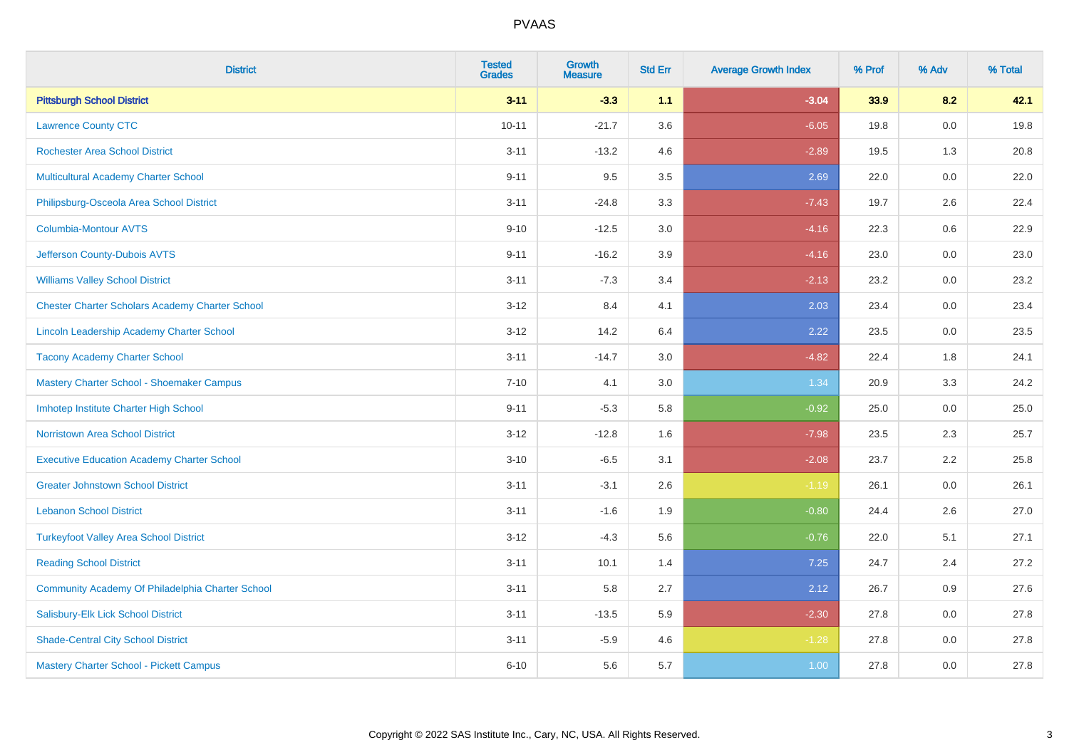| <b>District</b>                                        | <b>Tested</b><br><b>Grades</b> | <b>Growth</b><br><b>Measure</b> | <b>Std Err</b> | <b>Average Growth Index</b> | % Prof | % Adv   | % Total |
|--------------------------------------------------------|--------------------------------|---------------------------------|----------------|-----------------------------|--------|---------|---------|
| <b>Pittsburgh School District</b>                      | $3 - 11$                       | $-3.3$                          | 1.1            | $-3.04$                     | 33.9   | 8.2     | 42.1    |
| <b>Lawrence County CTC</b>                             | $10 - 11$                      | $-21.7$                         | 3.6            | $-6.05$                     | 19.8   | 0.0     | 19.8    |
| <b>Rochester Area School District</b>                  | $3 - 11$                       | $-13.2$                         | 4.6            | $-2.89$                     | 19.5   | 1.3     | 20.8    |
| Multicultural Academy Charter School                   | $9 - 11$                       | 9.5                             | 3.5            | 2.69                        | 22.0   | $0.0\,$ | 22.0    |
| Philipsburg-Osceola Area School District               | $3 - 11$                       | $-24.8$                         | 3.3            | $-7.43$                     | 19.7   | 2.6     | 22.4    |
| <b>Columbia-Montour AVTS</b>                           | $9 - 10$                       | $-12.5$                         | 3.0            | $-4.16$                     | 22.3   | 0.6     | 22.9    |
| Jefferson County-Dubois AVTS                           | $9 - 11$                       | $-16.2$                         | 3.9            | $-4.16$                     | 23.0   | $0.0\,$ | 23.0    |
| <b>Williams Valley School District</b>                 | $3 - 11$                       | $-7.3$                          | 3.4            | $-2.13$                     | 23.2   | 0.0     | 23.2    |
| <b>Chester Charter Scholars Academy Charter School</b> | $3 - 12$                       | 8.4                             | 4.1            | 2.03                        | 23.4   | 0.0     | 23.4    |
| Lincoln Leadership Academy Charter School              | $3 - 12$                       | 14.2                            | 6.4            | 2.22                        | 23.5   | $0.0\,$ | 23.5    |
| <b>Tacony Academy Charter School</b>                   | $3 - 11$                       | $-14.7$                         | 3.0            | $-4.82$                     | 22.4   | 1.8     | 24.1    |
| Mastery Charter School - Shoemaker Campus              | $7 - 10$                       | 4.1                             | 3.0            | 1.34                        | 20.9   | 3.3     | 24.2    |
| Imhotep Institute Charter High School                  | $9 - 11$                       | $-5.3$                          | 5.8            | $-0.92$                     | 25.0   | 0.0     | 25.0    |
| <b>Norristown Area School District</b>                 | $3 - 12$                       | $-12.8$                         | 1.6            | $-7.98$                     | 23.5   | 2.3     | 25.7    |
| <b>Executive Education Academy Charter School</b>      | $3 - 10$                       | $-6.5$                          | 3.1            | $-2.08$                     | 23.7   | 2.2     | 25.8    |
| <b>Greater Johnstown School District</b>               | $3 - 11$                       | $-3.1$                          | 2.6            | $-1.19$                     | 26.1   | 0.0     | 26.1    |
| <b>Lebanon School District</b>                         | $3 - 11$                       | $-1.6$                          | 1.9            | $-0.80$                     | 24.4   | 2.6     | 27.0    |
| <b>Turkeyfoot Valley Area School District</b>          | $3 - 12$                       | $-4.3$                          | 5.6            | $-0.76$                     | 22.0   | 5.1     | 27.1    |
| <b>Reading School District</b>                         | $3 - 11$                       | 10.1                            | 1.4            | 7.25                        | 24.7   | 2.4     | 27.2    |
| Community Academy Of Philadelphia Charter School       | $3 - 11$                       | 5.8                             | 2.7            | 2.12                        | 26.7   | 0.9     | 27.6    |
| Salisbury-Elk Lick School District                     | $3 - 11$                       | $-13.5$                         | 5.9            | $-2.30$                     | 27.8   | 0.0     | 27.8    |
| <b>Shade-Central City School District</b>              | $3 - 11$                       | $-5.9$                          | 4.6            | $-1.28$                     | 27.8   | 0.0     | 27.8    |
| Mastery Charter School - Pickett Campus                | $6 - 10$                       | 5.6                             | 5.7            | 1.00                        | 27.8   | 0.0     | 27.8    |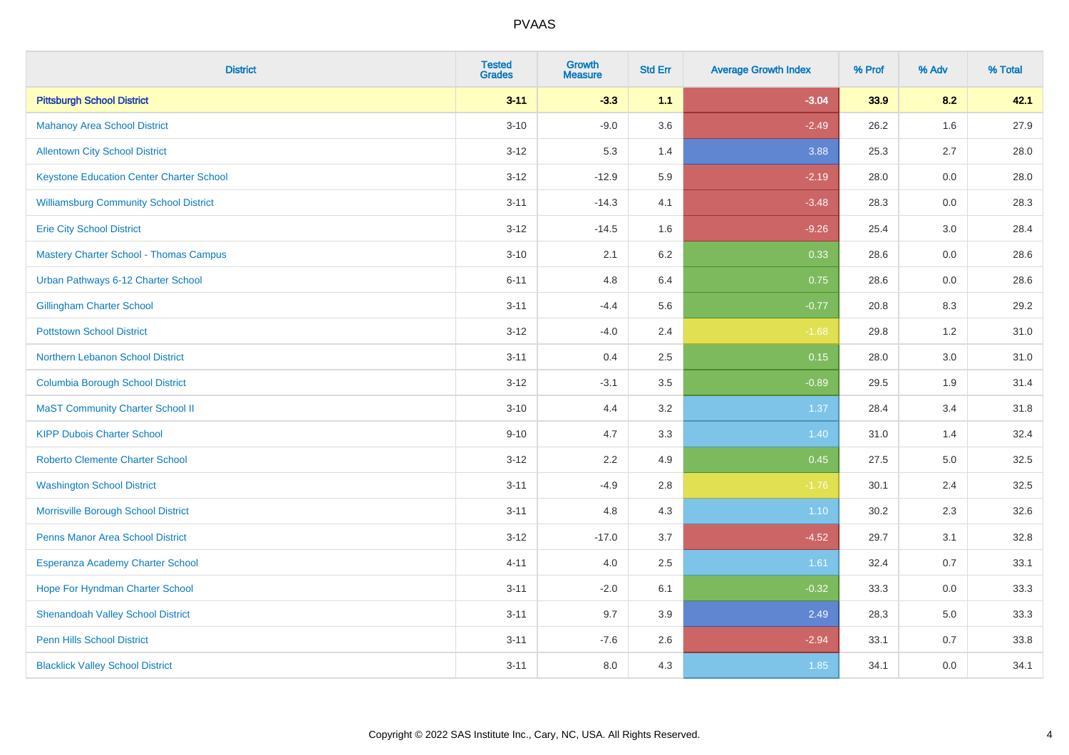| <b>District</b>                                 | <b>Tested</b><br><b>Grades</b> | <b>Growth</b><br><b>Measure</b> | <b>Std Err</b> | <b>Average Growth Index</b> | % Prof | % Adv   | % Total |
|-------------------------------------------------|--------------------------------|---------------------------------|----------------|-----------------------------|--------|---------|---------|
| <b>Pittsburgh School District</b>               | $3 - 11$                       | $-3.3$                          | 1.1            | $-3.04$                     | 33.9   | 8.2     | 42.1    |
| <b>Mahanoy Area School District</b>             | $3 - 10$                       | $-9.0$                          | 3.6            | $-2.49$                     | 26.2   | 1.6     | 27.9    |
| <b>Allentown City School District</b>           | $3 - 12$                       | 5.3                             | 1.4            | 3.88                        | 25.3   | 2.7     | 28.0    |
| <b>Keystone Education Center Charter School</b> | $3-12$                         | $-12.9$                         | 5.9            | $-2.19$                     | 28.0   | 0.0     | 28.0    |
| <b>Williamsburg Community School District</b>   | $3 - 11$                       | $-14.3$                         | 4.1            | $-3.48$                     | 28.3   | 0.0     | 28.3    |
| <b>Erie City School District</b>                | $3 - 12$                       | $-14.5$                         | 1.6            | $-9.26$                     | 25.4   | 3.0     | 28.4    |
| <b>Mastery Charter School - Thomas Campus</b>   | $3 - 10$                       | 2.1                             | 6.2            | 0.33                        | 28.6   | 0.0     | 28.6    |
| Urban Pathways 6-12 Charter School              | $6 - 11$                       | 4.8                             | 6.4            | 0.75                        | 28.6   | 0.0     | 28.6    |
| <b>Gillingham Charter School</b>                | $3 - 11$                       | $-4.4$                          | 5.6            | $-0.77$                     | 20.8   | 8.3     | 29.2    |
| <b>Pottstown School District</b>                | $3 - 12$                       | $-4.0$                          | 2.4            | $-1.68$                     | 29.8   | 1.2     | 31.0    |
| Northern Lebanon School District                | $3 - 11$                       | 0.4                             | 2.5            | 0.15                        | 28.0   | 3.0     | 31.0    |
| <b>Columbia Borough School District</b>         | $3-12$                         | $-3.1$                          | 3.5            | $-0.89$                     | 29.5   | 1.9     | 31.4    |
| <b>MaST Community Charter School II</b>         | $3 - 10$                       | 4.4                             | 3.2            | 1.37                        | 28.4   | 3.4     | 31.8    |
| <b>KIPP Dubois Charter School</b>               | $9 - 10$                       | 4.7                             | 3.3            | 1.40                        | 31.0   | 1.4     | 32.4    |
| <b>Roberto Clemente Charter School</b>          | $3-12$                         | 2.2                             | 4.9            | 0.45                        | 27.5   | $5.0\,$ | 32.5    |
| <b>Washington School District</b>               | $3 - 11$                       | $-4.9$                          | 2.8            | $-1.76$                     | 30.1   | 2.4     | 32.5    |
| Morrisville Borough School District             | $3 - 11$                       | 4.8                             | 4.3            | $1.10$                      | 30.2   | 2.3     | 32.6    |
| Penns Manor Area School District                | $3 - 12$                       | $-17.0$                         | 3.7            | $-4.52$                     | 29.7   | 3.1     | 32.8    |
| Esperanza Academy Charter School                | $4 - 11$                       | 4.0                             | 2.5            | 1.61                        | 32.4   | 0.7     | 33.1    |
| Hope For Hyndman Charter School                 | $3 - 11$                       | $-2.0$                          | 6.1            | $-0.32$                     | 33.3   | 0.0     | 33.3    |
| <b>Shenandoah Valley School District</b>        | $3 - 11$                       | 9.7                             | 3.9            | 2.49                        | 28.3   | 5.0     | 33.3    |
| <b>Penn Hills School District</b>               | $3 - 11$                       | $-7.6$                          | 2.6            | $-2.94$                     | 33.1   | 0.7     | 33.8    |
| <b>Blacklick Valley School District</b>         | $3 - 11$                       | 8.0                             | 4.3            | 1.85                        | 34.1   | 0.0     | 34.1    |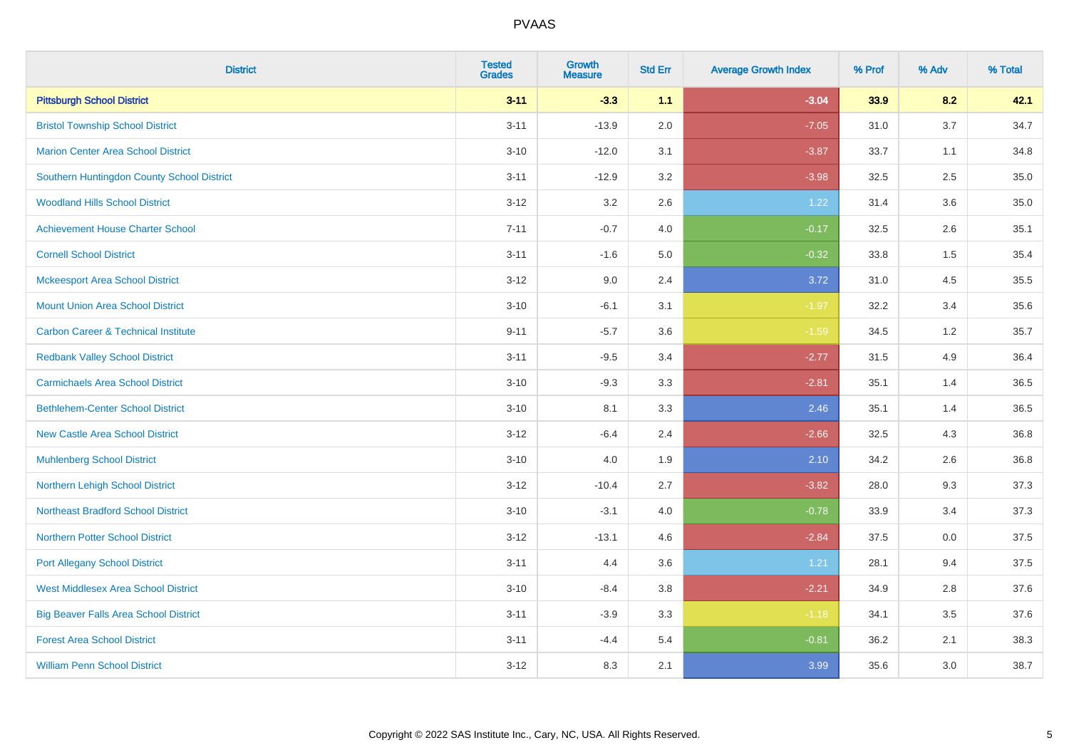| <b>District</b>                                | <b>Tested</b><br><b>Grades</b> | <b>Growth</b><br><b>Measure</b> | <b>Std Err</b> | <b>Average Growth Index</b> | % Prof | % Adv | % Total |
|------------------------------------------------|--------------------------------|---------------------------------|----------------|-----------------------------|--------|-------|---------|
| <b>Pittsburgh School District</b>              | $3 - 11$                       | $-3.3$                          | 1.1            | $-3.04$                     | 33.9   | 8.2   | 42.1    |
| <b>Bristol Township School District</b>        | $3 - 11$                       | $-13.9$                         | 2.0            | $-7.05$                     | 31.0   | 3.7   | 34.7    |
| <b>Marion Center Area School District</b>      | $3 - 10$                       | $-12.0$                         | 3.1            | $-3.87$                     | 33.7   | 1.1   | 34.8    |
| Southern Huntingdon County School District     | $3 - 11$                       | $-12.9$                         | 3.2            | $-3.98$                     | 32.5   | 2.5   | 35.0    |
| <b>Woodland Hills School District</b>          | $3 - 12$                       | 3.2                             | 2.6            | 1.22                        | 31.4   | 3.6   | 35.0    |
| <b>Achievement House Charter School</b>        | $7 - 11$                       | $-0.7$                          | 4.0            | $-0.17$                     | 32.5   | 2.6   | 35.1    |
| <b>Cornell School District</b>                 | $3 - 11$                       | $-1.6$                          | 5.0            | $-0.32$                     | 33.8   | 1.5   | 35.4    |
| <b>Mckeesport Area School District</b>         | $3 - 12$                       | 9.0                             | 2.4            | 3.72                        | 31.0   | 4.5   | 35.5    |
| <b>Mount Union Area School District</b>        | $3 - 10$                       | $-6.1$                          | 3.1            | $-1.97$                     | 32.2   | 3.4   | 35.6    |
| <b>Carbon Career &amp; Technical Institute</b> | $9 - 11$                       | $-5.7$                          | 3.6            | $-1.59$                     | 34.5   | 1.2   | 35.7    |
| <b>Redbank Valley School District</b>          | $3 - 11$                       | $-9.5$                          | 3.4            | $-2.77$                     | 31.5   | 4.9   | 36.4    |
| <b>Carmichaels Area School District</b>        | $3 - 10$                       | $-9.3$                          | 3.3            | $-2.81$                     | 35.1   | 1.4   | 36.5    |
| <b>Bethlehem-Center School District</b>        | $3 - 10$                       | 8.1                             | 3.3            | 2.46                        | 35.1   | 1.4   | 36.5    |
| <b>New Castle Area School District</b>         | $3 - 12$                       | $-6.4$                          | 2.4            | $-2.66$                     | 32.5   | 4.3   | 36.8    |
| <b>Muhlenberg School District</b>              | $3 - 10$                       | 4.0                             | 1.9            | 2.10                        | 34.2   | 2.6   | 36.8    |
| Northern Lehigh School District                | $3 - 12$                       | $-10.4$                         | 2.7            | $-3.82$                     | 28.0   | 9.3   | 37.3    |
| <b>Northeast Bradford School District</b>      | $3 - 10$                       | $-3.1$                          | 4.0            | $-0.78$                     | 33.9   | 3.4   | 37.3    |
| <b>Northern Potter School District</b>         | $3 - 12$                       | $-13.1$                         | 4.6            | $-2.84$                     | 37.5   | 0.0   | 37.5    |
| <b>Port Allegany School District</b>           | $3 - 11$                       | 4.4                             | 3.6            | 1.21                        | 28.1   | 9.4   | 37.5    |
| <b>West Middlesex Area School District</b>     | $3 - 10$                       | $-8.4$                          | 3.8            | $-2.21$                     | 34.9   | 2.8   | 37.6    |
| <b>Big Beaver Falls Area School District</b>   | $3 - 11$                       | $-3.9$                          | 3.3            | $-1.18$                     | 34.1   | 3.5   | 37.6    |
| <b>Forest Area School District</b>             | $3 - 11$                       | $-4.4$                          | 5.4            | $-0.81$                     | 36.2   | 2.1   | 38.3    |
| <b>William Penn School District</b>            | $3 - 12$                       | 8.3                             | 2.1            | 3.99                        | 35.6   | 3.0   | 38.7    |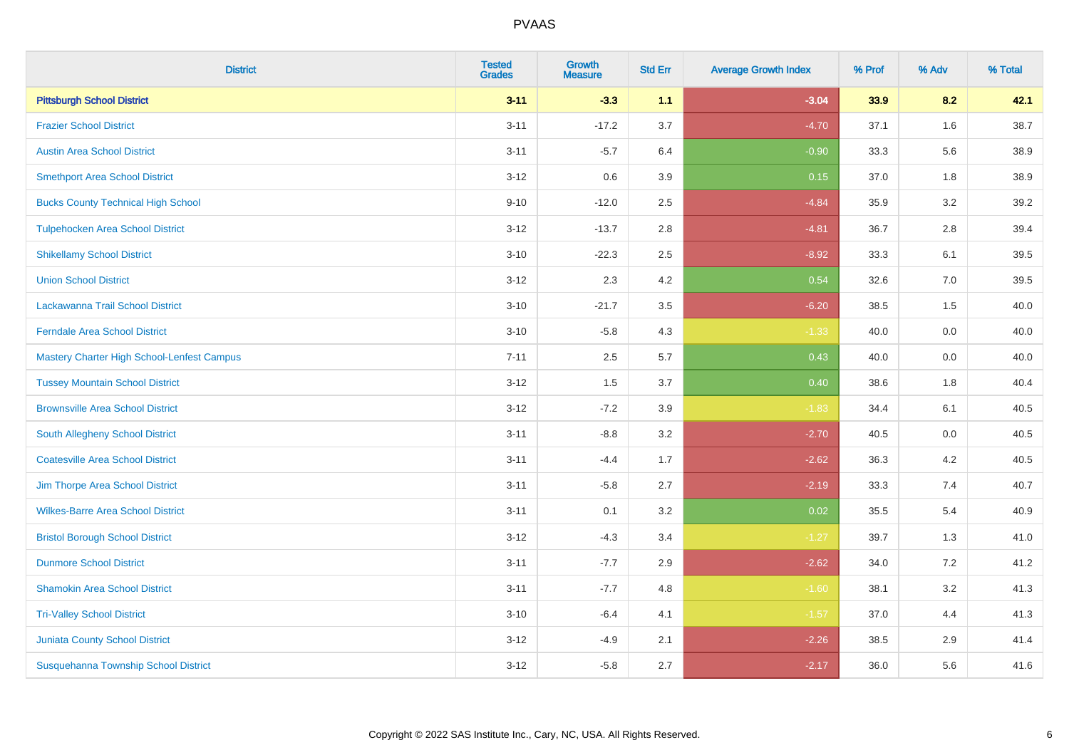| <b>District</b>                                   | <b>Tested</b><br><b>Grades</b> | <b>Growth</b><br><b>Measure</b> | <b>Std Err</b> | <b>Average Growth Index</b> | % Prof | % Adv | % Total |
|---------------------------------------------------|--------------------------------|---------------------------------|----------------|-----------------------------|--------|-------|---------|
| <b>Pittsburgh School District</b>                 | $3 - 11$                       | $-3.3$                          | 1.1            | $-3.04$                     | 33.9   | 8.2   | 42.1    |
| <b>Frazier School District</b>                    | $3 - 11$                       | $-17.2$                         | 3.7            | $-4.70$                     | 37.1   | 1.6   | 38.7    |
| <b>Austin Area School District</b>                | $3 - 11$                       | $-5.7$                          | 6.4            | $-0.90$                     | 33.3   | 5.6   | 38.9    |
| <b>Smethport Area School District</b>             | $3 - 12$                       | 0.6                             | 3.9            | 0.15                        | 37.0   | 1.8   | 38.9    |
| <b>Bucks County Technical High School</b>         | $9 - 10$                       | $-12.0$                         | 2.5            | $-4.84$                     | 35.9   | 3.2   | 39.2    |
| <b>Tulpehocken Area School District</b>           | $3 - 12$                       | $-13.7$                         | 2.8            | $-4.81$                     | 36.7   | 2.8   | 39.4    |
| <b>Shikellamy School District</b>                 | $3 - 10$                       | $-22.3$                         | 2.5            | $-8.92$                     | 33.3   | 6.1   | 39.5    |
| <b>Union School District</b>                      | $3 - 12$                       | 2.3                             | 4.2            | 0.54                        | 32.6   | 7.0   | 39.5    |
| Lackawanna Trail School District                  | $3 - 10$                       | $-21.7$                         | 3.5            | $-6.20$                     | 38.5   | 1.5   | 40.0    |
| <b>Ferndale Area School District</b>              | $3 - 10$                       | $-5.8$                          | 4.3            | $-1.33$                     | 40.0   | 0.0   | 40.0    |
| <b>Mastery Charter High School-Lenfest Campus</b> | $7 - 11$                       | 2.5                             | 5.7            | 0.43                        | 40.0   | 0.0   | 40.0    |
| <b>Tussey Mountain School District</b>            | $3 - 12$                       | 1.5                             | 3.7            | 0.40                        | 38.6   | 1.8   | 40.4    |
| <b>Brownsville Area School District</b>           | $3 - 12$                       | $-7.2$                          | 3.9            | $-1.83$                     | 34.4   | 6.1   | 40.5    |
| South Allegheny School District                   | $3 - 11$                       | $-8.8$                          | 3.2            | $-2.70$                     | 40.5   | 0.0   | 40.5    |
| <b>Coatesville Area School District</b>           | $3 - 11$                       | $-4.4$                          | 1.7            | $-2.62$                     | 36.3   | 4.2   | 40.5    |
| Jim Thorpe Area School District                   | $3 - 11$                       | $-5.8$                          | 2.7            | $-2.19$                     | 33.3   | 7.4   | 40.7    |
| <b>Wilkes-Barre Area School District</b>          | $3 - 11$                       | 0.1                             | 3.2            | 0.02                        | 35.5   | 5.4   | 40.9    |
| <b>Bristol Borough School District</b>            | $3 - 12$                       | $-4.3$                          | 3.4            | $-1.27$                     | 39.7   | 1.3   | 41.0    |
| <b>Dunmore School District</b>                    | $3 - 11$                       | $-7.7$                          | 2.9            | $-2.62$                     | 34.0   | 7.2   | 41.2    |
| <b>Shamokin Area School District</b>              | $3 - 11$                       | $-7.7$                          | 4.8            | $-1.60$                     | 38.1   | 3.2   | 41.3    |
| <b>Tri-Valley School District</b>                 | $3 - 10$                       | $-6.4$                          | 4.1            | $-1.57$                     | 37.0   | 4.4   | 41.3    |
| <b>Juniata County School District</b>             | $3 - 12$                       | $-4.9$                          | 2.1            | $-2.26$                     | 38.5   | 2.9   | 41.4    |
| Susquehanna Township School District              | $3 - 12$                       | $-5.8$                          | 2.7            | $-2.17$                     | 36.0   | 5.6   | 41.6    |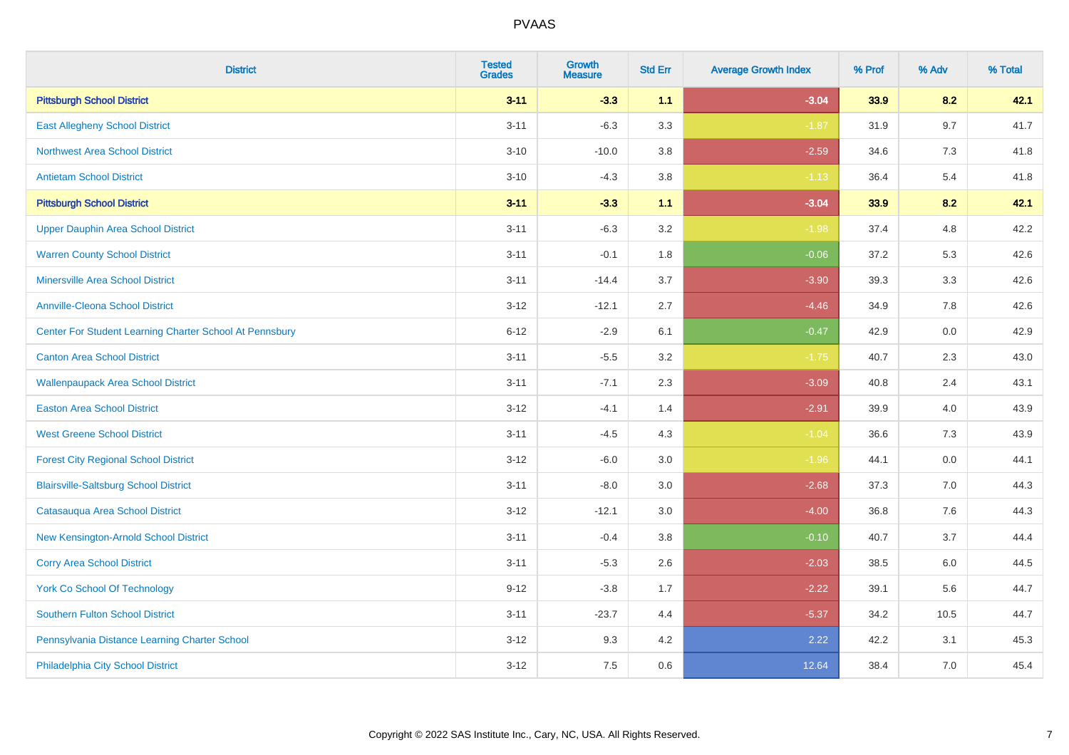| <b>District</b>                                         | <b>Tested</b><br><b>Grades</b> | <b>Growth</b><br><b>Measure</b> | <b>Std Err</b> | <b>Average Growth Index</b> | % Prof | % Adv | % Total |
|---------------------------------------------------------|--------------------------------|---------------------------------|----------------|-----------------------------|--------|-------|---------|
| <b>Pittsburgh School District</b>                       | $3 - 11$                       | $-3.3$                          | 1.1            | $-3.04$                     | 33.9   | 8.2   | 42.1    |
| <b>East Allegheny School District</b>                   | $3 - 11$                       | $-6.3$                          | 3.3            | $-1.87$                     | 31.9   | 9.7   | 41.7    |
| <b>Northwest Area School District</b>                   | $3 - 10$                       | $-10.0$                         | 3.8            | $-2.59$                     | 34.6   | 7.3   | 41.8    |
| <b>Antietam School District</b>                         | $3 - 10$                       | $-4.3$                          | $3.8\,$        | $-1.13$                     | 36.4   | $5.4$ | 41.8    |
| <b>Pittsburgh School District</b>                       | $3 - 11$                       | $-3.3$                          | 1.1            | $-3.04$                     | 33.9   | 8.2   | 42.1    |
| <b>Upper Dauphin Area School District</b>               | $3 - 11$                       | $-6.3$                          | 3.2            | $-1.98$                     | 37.4   | 4.8   | 42.2    |
| <b>Warren County School District</b>                    | $3 - 11$                       | $-0.1$                          | 1.8            | $-0.06$                     | 37.2   | 5.3   | 42.6    |
| <b>Minersville Area School District</b>                 | $3 - 11$                       | $-14.4$                         | 3.7            | $-3.90$                     | 39.3   | 3.3   | 42.6    |
| <b>Annville-Cleona School District</b>                  | $3 - 12$                       | $-12.1$                         | 2.7            | $-4.46$                     | 34.9   | 7.8   | 42.6    |
| Center For Student Learning Charter School At Pennsbury | $6 - 12$                       | $-2.9$                          | 6.1            | $-0.47$                     | 42.9   | 0.0   | 42.9    |
| <b>Canton Area School District</b>                      | $3 - 11$                       | $-5.5$                          | 3.2            | $-1.75$                     | 40.7   | 2.3   | 43.0    |
| <b>Wallenpaupack Area School District</b>               | $3 - 11$                       | $-7.1$                          | 2.3            | $-3.09$                     | 40.8   | 2.4   | 43.1    |
| <b>Easton Area School District</b>                      | $3 - 12$                       | $-4.1$                          | 1.4            | $-2.91$                     | 39.9   | 4.0   | 43.9    |
| <b>West Greene School District</b>                      | $3 - 11$                       | $-4.5$                          | 4.3            | $-1.04$                     | 36.6   | $7.3$ | 43.9    |
| <b>Forest City Regional School District</b>             | $3 - 12$                       | $-6.0$                          | 3.0            | $-1.96$                     | 44.1   | 0.0   | 44.1    |
| <b>Blairsville-Saltsburg School District</b>            | $3 - 11$                       | $-8.0$                          | 3.0            | $-2.68$                     | 37.3   | 7.0   | 44.3    |
| Catasauqua Area School District                         | $3 - 12$                       | $-12.1$                         | 3.0            | $-4.00$                     | 36.8   | 7.6   | 44.3    |
| New Kensington-Arnold School District                   | $3 - 11$                       | $-0.4$                          | 3.8            | $-0.10$                     | 40.7   | 3.7   | 44.4    |
| <b>Corry Area School District</b>                       | $3 - 11$                       | $-5.3$                          | 2.6            | $-2.03$                     | 38.5   | 6.0   | 44.5    |
| <b>York Co School Of Technology</b>                     | $9 - 12$                       | $-3.8$                          | 1.7            | $-2.22$                     | 39.1   | 5.6   | 44.7    |
| Southern Fulton School District                         | $3 - 11$                       | $-23.7$                         | 4.4            | $-5.37$                     | 34.2   | 10.5  | 44.7    |
| Pennsylvania Distance Learning Charter School           | $3 - 12$                       | 9.3                             | 4.2            | 2.22                        | 42.2   | 3.1   | 45.3    |
| Philadelphia City School District                       | $3 - 12$                       | 7.5                             | 0.6            | 12.64                       | 38.4   | 7.0   | 45.4    |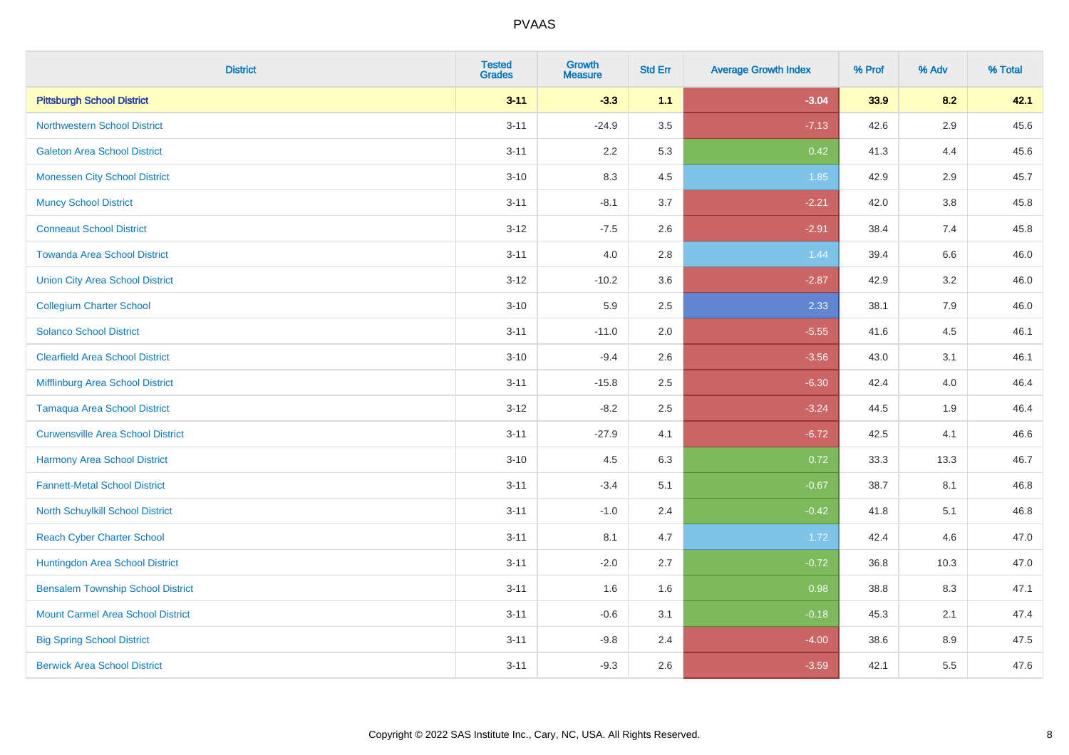| <b>District</b>                          | <b>Tested</b><br><b>Grades</b> | Growth<br><b>Measure</b> | <b>Std Err</b> | <b>Average Growth Index</b> | % Prof | % Adv   | % Total |
|------------------------------------------|--------------------------------|--------------------------|----------------|-----------------------------|--------|---------|---------|
| <b>Pittsburgh School District</b>        | $3 - 11$                       | $-3.3$                   | 1.1            | $-3.04$                     | 33.9   | 8.2     | 42.1    |
| <b>Northwestern School District</b>      | $3 - 11$                       | $-24.9$                  | 3.5            | $-7.13$                     | 42.6   | 2.9     | 45.6    |
| <b>Galeton Area School District</b>      | $3 - 11$                       | 2.2                      | 5.3            | 0.42                        | 41.3   | 4.4     | 45.6    |
| <b>Monessen City School District</b>     | $3 - 10$                       | 8.3                      | 4.5            | 1.85                        | 42.9   | $2.9\,$ | 45.7    |
| <b>Muncy School District</b>             | $3 - 11$                       | $-8.1$                   | 3.7            | $-2.21$                     | 42.0   | 3.8     | 45.8    |
| <b>Conneaut School District</b>          | $3-12$                         | $-7.5$                   | 2.6            | $-2.91$                     | 38.4   | 7.4     | 45.8    |
| <b>Towanda Area School District</b>      | $3 - 11$                       | 4.0                      | 2.8            | 1.44                        | 39.4   | $6.6\,$ | 46.0    |
| <b>Union City Area School District</b>   | $3 - 12$                       | $-10.2$                  | 3.6            | $-2.87$                     | 42.9   | 3.2     | 46.0    |
| <b>Collegium Charter School</b>          | $3 - 10$                       | 5.9                      | 2.5            | 2.33                        | 38.1   | 7.9     | 46.0    |
| <b>Solanco School District</b>           | $3 - 11$                       | $-11.0$                  | 2.0            | $-5.55$                     | 41.6   | 4.5     | 46.1    |
| <b>Clearfield Area School District</b>   | $3 - 10$                       | $-9.4$                   | 2.6            | $-3.56$                     | 43.0   | 3.1     | 46.1    |
| Mifflinburg Area School District         | $3 - 11$                       | $-15.8$                  | 2.5            | $-6.30$                     | 42.4   | 4.0     | 46.4    |
| <b>Tamaqua Area School District</b>      | $3-12$                         | $-8.2$                   | 2.5            | $-3.24$                     | 44.5   | 1.9     | 46.4    |
| <b>Curwensville Area School District</b> | $3 - 11$                       | $-27.9$                  | 4.1            | $-6.72$                     | 42.5   | 4.1     | 46.6    |
| <b>Harmony Area School District</b>      | $3 - 10$                       | 4.5                      | 6.3            | 0.72                        | 33.3   | 13.3    | 46.7    |
| <b>Fannett-Metal School District</b>     | $3 - 11$                       | $-3.4$                   | 5.1            | $-0.67$                     | 38.7   | 8.1     | 46.8    |
| North Schuylkill School District         | $3 - 11$                       | $-1.0$                   | 2.4            | $-0.42$                     | 41.8   | 5.1     | 46.8    |
| <b>Reach Cyber Charter School</b>        | $3 - 11$                       | 8.1                      | 4.7            | 1.72                        | 42.4   | 4.6     | 47.0    |
| Huntingdon Area School District          | $3 - 11$                       | $-2.0$                   | 2.7            | $-0.72$                     | 36.8   | 10.3    | 47.0    |
| <b>Bensalem Township School District</b> | $3 - 11$                       | 1.6                      | 1.6            | 0.98                        | 38.8   | 8.3     | 47.1    |
| <b>Mount Carmel Area School District</b> | $3 - 11$                       | $-0.6$                   | 3.1            | $-0.18$                     | 45.3   | 2.1     | 47.4    |
| <b>Big Spring School District</b>        | $3 - 11$                       | $-9.8$                   | 2.4            | $-4.00$                     | 38.6   | 8.9     | 47.5    |
| <b>Berwick Area School District</b>      | $3 - 11$                       | $-9.3$                   | 2.6            | $-3.59$                     | 42.1   | 5.5     | 47.6    |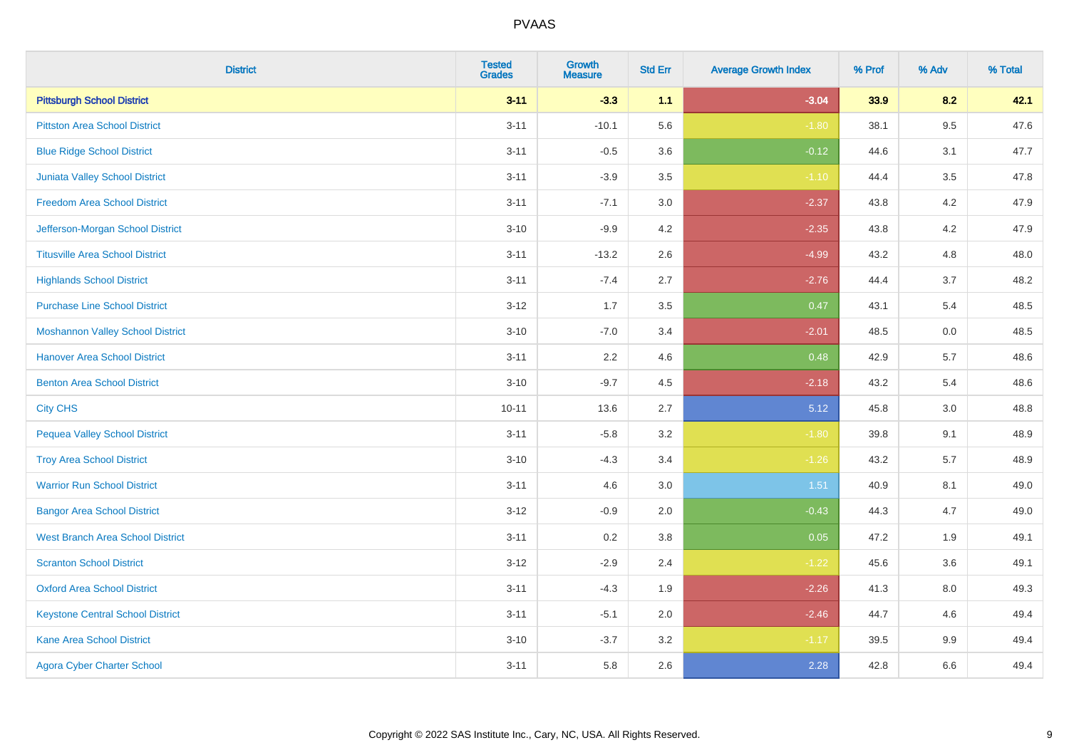| <b>District</b>                         | <b>Tested</b><br><b>Grades</b> | Growth<br><b>Measure</b> | <b>Std Err</b> | <b>Average Growth Index</b> | % Prof | % Adv   | % Total |
|-----------------------------------------|--------------------------------|--------------------------|----------------|-----------------------------|--------|---------|---------|
| <b>Pittsburgh School District</b>       | $3 - 11$                       | $-3.3$                   | 1.1            | $-3.04$                     | 33.9   | 8.2     | 42.1    |
| <b>Pittston Area School District</b>    | $3 - 11$                       | $-10.1$                  | 5.6            | $-1.80$                     | 38.1   | 9.5     | 47.6    |
| <b>Blue Ridge School District</b>       | $3 - 11$                       | $-0.5$                   | 3.6            | $-0.12$                     | 44.6   | 3.1     | 47.7    |
| Juniata Valley School District          | $3 - 11$                       | $-3.9$                   | 3.5            | $-1.10$                     | 44.4   | 3.5     | 47.8    |
| <b>Freedom Area School District</b>     | $3 - 11$                       | $-7.1$                   | 3.0            | $-2.37$                     | 43.8   | 4.2     | 47.9    |
| Jefferson-Morgan School District        | $3 - 10$                       | $-9.9$                   | 4.2            | $-2.35$                     | 43.8   | 4.2     | 47.9    |
| <b>Titusville Area School District</b>  | $3 - 11$                       | $-13.2$                  | 2.6            | $-4.99$                     | 43.2   | 4.8     | 48.0    |
| <b>Highlands School District</b>        | $3 - 11$                       | $-7.4$                   | 2.7            | $-2.76$                     | 44.4   | 3.7     | 48.2    |
| <b>Purchase Line School District</b>    | $3 - 12$                       | 1.7                      | 3.5            | 0.47                        | 43.1   | 5.4     | 48.5    |
| <b>Moshannon Valley School District</b> | $3 - 10$                       | $-7.0$                   | 3.4            | $-2.01$                     | 48.5   | 0.0     | 48.5    |
| <b>Hanover Area School District</b>     | $3 - 11$                       | 2.2                      | 4.6            | 0.48                        | 42.9   | 5.7     | 48.6    |
| <b>Benton Area School District</b>      | $3 - 10$                       | $-9.7$                   | 4.5            | $-2.18$                     | 43.2   | 5.4     | 48.6    |
| <b>City CHS</b>                         | $10 - 11$                      | 13.6                     | 2.7            | 5.12                        | 45.8   | 3.0     | 48.8    |
| <b>Pequea Valley School District</b>    | $3 - 11$                       | $-5.8$                   | 3.2            | $-1.80$                     | 39.8   | 9.1     | 48.9    |
| <b>Troy Area School District</b>        | $3 - 10$                       | $-4.3$                   | 3.4            | $-1.26$                     | 43.2   | 5.7     | 48.9    |
| <b>Warrior Run School District</b>      | $3 - 11$                       | 4.6                      | 3.0            | 1.51                        | 40.9   | 8.1     | 49.0    |
| <b>Bangor Area School District</b>      | $3 - 12$                       | $-0.9$                   | 2.0            | $-0.43$                     | 44.3   | 4.7     | 49.0    |
| <b>West Branch Area School District</b> | $3 - 11$                       | 0.2                      | 3.8            | 0.05                        | 47.2   | 1.9     | 49.1    |
| <b>Scranton School District</b>         | $3 - 12$                       | $-2.9$                   | 2.4            | $-1.22$                     | 45.6   | 3.6     | 49.1    |
| <b>Oxford Area School District</b>      | $3 - 11$                       | $-4.3$                   | 1.9            | $-2.26$                     | 41.3   | 8.0     | 49.3    |
| <b>Keystone Central School District</b> | $3 - 11$                       | $-5.1$                   | 2.0            | $-2.46$                     | 44.7   | 4.6     | 49.4    |
| <b>Kane Area School District</b>        | $3 - 10$                       | $-3.7$                   | 3.2            | $-1.17$                     | 39.5   | $9.9\,$ | 49.4    |
| <b>Agora Cyber Charter School</b>       | $3 - 11$                       | 5.8                      | 2.6            | 2.28                        | 42.8   | 6.6     | 49.4    |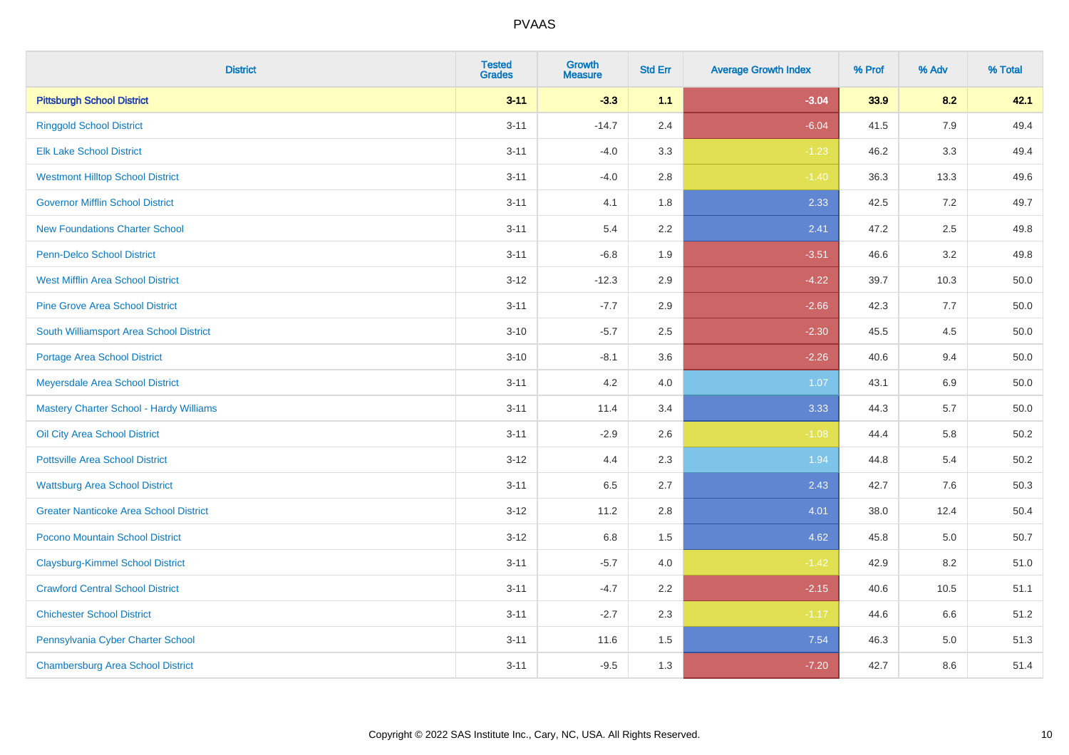| <b>District</b>                                | <b>Tested</b><br><b>Grades</b> | <b>Growth</b><br><b>Measure</b> | <b>Std Err</b> | <b>Average Growth Index</b> | % Prof | % Adv | % Total  |
|------------------------------------------------|--------------------------------|---------------------------------|----------------|-----------------------------|--------|-------|----------|
| <b>Pittsburgh School District</b>              | $3 - 11$                       | $-3.3$                          | 1.1            | $-3.04$                     | 33.9   | 8.2   | 42.1     |
| <b>Ringgold School District</b>                | $3 - 11$                       | $-14.7$                         | 2.4            | $-6.04$                     | 41.5   | 7.9   | 49.4     |
| <b>Elk Lake School District</b>                | $3 - 11$                       | $-4.0$                          | 3.3            | $-1.23$                     | 46.2   | 3.3   | 49.4     |
| <b>Westmont Hilltop School District</b>        | $3 - 11$                       | $-4.0$                          | 2.8            | $-1.40$                     | 36.3   | 13.3  | 49.6     |
| <b>Governor Mifflin School District</b>        | $3 - 11$                       | 4.1                             | 1.8            | 2.33                        | 42.5   | 7.2   | 49.7     |
| <b>New Foundations Charter School</b>          | $3 - 11$                       | 5.4                             | 2.2            | 2.41                        | 47.2   | 2.5   | 49.8     |
| Penn-Delco School District                     | $3 - 11$                       | $-6.8$                          | 1.9            | $-3.51$                     | 46.6   | 3.2   | 49.8     |
| <b>West Mifflin Area School District</b>       | $3 - 12$                       | $-12.3$                         | 2.9            | $-4.22$                     | 39.7   | 10.3  | 50.0     |
| <b>Pine Grove Area School District</b>         | $3 - 11$                       | $-7.7$                          | 2.9            | $-2.66$                     | 42.3   | 7.7   | 50.0     |
| South Williamsport Area School District        | $3 - 10$                       | $-5.7$                          | 2.5            | $-2.30$                     | 45.5   | 4.5   | $50.0\,$ |
| <b>Portage Area School District</b>            | $3 - 10$                       | $-8.1$                          | 3.6            | $-2.26$                     | 40.6   | 9.4   | 50.0     |
| Meyersdale Area School District                | $3 - 11$                       | 4.2                             | 4.0            | 1.07                        | 43.1   | 6.9   | 50.0     |
| <b>Mastery Charter School - Hardy Williams</b> | $3 - 11$                       | 11.4                            | 3.4            | 3.33                        | 44.3   | 5.7   | 50.0     |
| Oil City Area School District                  | $3 - 11$                       | $-2.9$                          | 2.6            | $-1.08$                     | 44.4   | 5.8   | 50.2     |
| <b>Pottsville Area School District</b>         | $3 - 12$                       | 4.4                             | 2.3            | 1.94                        | 44.8   | 5.4   | $50.2\,$ |
| <b>Wattsburg Area School District</b>          | $3 - 11$                       | 6.5                             | 2.7            | 2.43                        | 42.7   | 7.6   | 50.3     |
| <b>Greater Nanticoke Area School District</b>  | $3 - 12$                       | 11.2                            | 2.8            | 4.01                        | 38.0   | 12.4  | 50.4     |
| Pocono Mountain School District                | $3 - 12$                       | $6.8\,$                         | 1.5            | 4.62                        | 45.8   | 5.0   | 50.7     |
| <b>Claysburg-Kimmel School District</b>        | $3 - 11$                       | $-5.7$                          | 4.0            | $-1.42$                     | 42.9   | 8.2   | 51.0     |
| <b>Crawford Central School District</b>        | $3 - 11$                       | $-4.7$                          | 2.2            | $-2.15$                     | 40.6   | 10.5  | 51.1     |
| <b>Chichester School District</b>              | $3 - 11$                       | $-2.7$                          | 2.3            | $-1.17$                     | 44.6   | 6.6   | 51.2     |
| Pennsylvania Cyber Charter School              | $3 - 11$                       | 11.6                            | 1.5            | 7.54                        | 46.3   | 5.0   | 51.3     |
| <b>Chambersburg Area School District</b>       | $3 - 11$                       | $-9.5$                          | 1.3            | $-7.20$                     | 42.7   | 8.6   | 51.4     |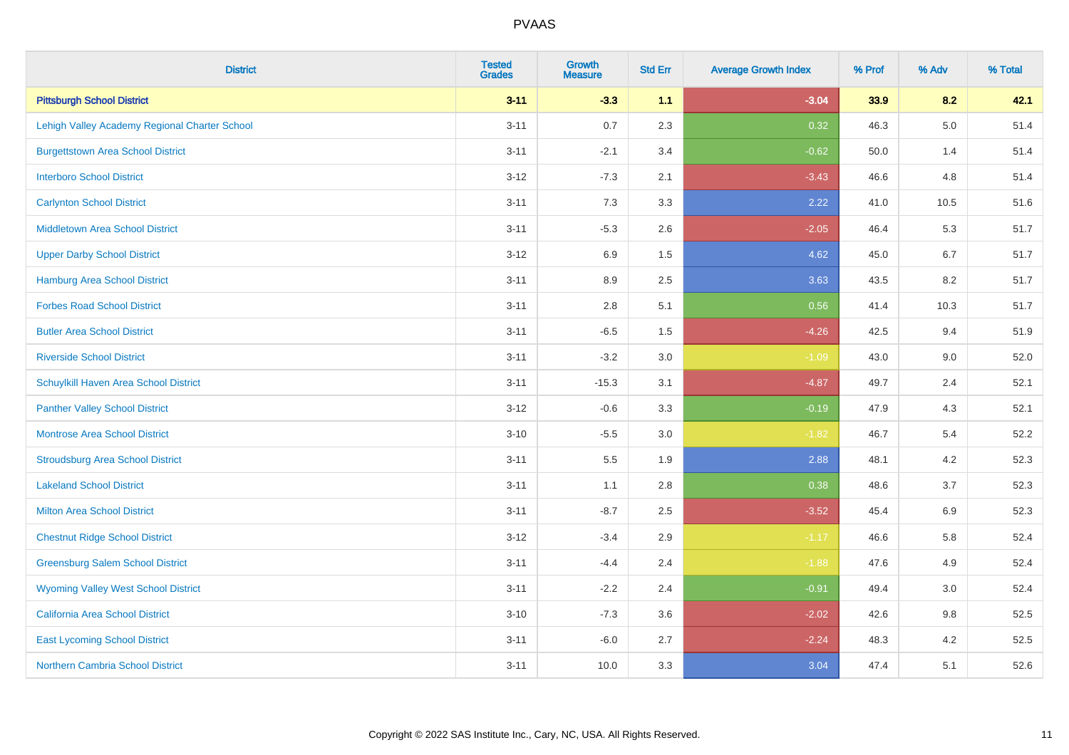| <b>District</b>                               | <b>Tested</b><br><b>Grades</b> | <b>Growth</b><br><b>Measure</b> | <b>Std Err</b> | <b>Average Growth Index</b> | % Prof | % Adv   | % Total |
|-----------------------------------------------|--------------------------------|---------------------------------|----------------|-----------------------------|--------|---------|---------|
| <b>Pittsburgh School District</b>             | $3 - 11$                       | $-3.3$                          | 1.1            | $-3.04$                     | 33.9   | 8.2     | 42.1    |
| Lehigh Valley Academy Regional Charter School | $3 - 11$                       | 0.7                             | 2.3            | 0.32                        | 46.3   | $5.0\,$ | 51.4    |
| <b>Burgettstown Area School District</b>      | $3 - 11$                       | $-2.1$                          | 3.4            | $-0.62$                     | 50.0   | 1.4     | 51.4    |
| <b>Interboro School District</b>              | $3 - 12$                       | $-7.3$                          | 2.1            | $-3.43$                     | 46.6   | 4.8     | 51.4    |
| <b>Carlynton School District</b>              | $3 - 11$                       | 7.3                             | 3.3            | 2.22                        | 41.0   | 10.5    | 51.6    |
| <b>Middletown Area School District</b>        | $3 - 11$                       | $-5.3$                          | 2.6            | $-2.05$                     | 46.4   | 5.3     | 51.7    |
| <b>Upper Darby School District</b>            | $3 - 12$                       | 6.9                             | 1.5            | 4.62                        | 45.0   | 6.7     | 51.7    |
| <b>Hamburg Area School District</b>           | $3 - 11$                       | 8.9                             | 2.5            | 3.63                        | 43.5   | 8.2     | 51.7    |
| <b>Forbes Road School District</b>            | $3 - 11$                       | 2.8                             | 5.1            | 0.56                        | 41.4   | 10.3    | 51.7    |
| <b>Butler Area School District</b>            | $3 - 11$                       | $-6.5$                          | $1.5$          | $-4.26$                     | 42.5   | 9.4     | 51.9    |
| <b>Riverside School District</b>              | $3 - 11$                       | $-3.2$                          | 3.0            | $-1.09$                     | 43.0   | 9.0     | 52.0    |
| Schuylkill Haven Area School District         | $3 - 11$                       | $-15.3$                         | 3.1            | $-4.87$                     | 49.7   | 2.4     | 52.1    |
| <b>Panther Valley School District</b>         | $3 - 12$                       | $-0.6$                          | 3.3            | $-0.19$                     | 47.9   | 4.3     | 52.1    |
| Montrose Area School District                 | $3 - 10$                       | $-5.5$                          | 3.0            | $-1.82$                     | 46.7   | 5.4     | 52.2    |
| <b>Stroudsburg Area School District</b>       | $3 - 11$                       | 5.5                             | 1.9            | 2.88                        | 48.1   | 4.2     | 52.3    |
| <b>Lakeland School District</b>               | $3 - 11$                       | 1.1                             | 2.8            | 0.38                        | 48.6   | 3.7     | 52.3    |
| <b>Milton Area School District</b>            | $3 - 11$                       | $-8.7$                          | 2.5            | $-3.52$                     | 45.4   | 6.9     | 52.3    |
| <b>Chestnut Ridge School District</b>         | $3 - 12$                       | $-3.4$                          | 2.9            | $-1.17$                     | 46.6   | 5.8     | 52.4    |
| <b>Greensburg Salem School District</b>       | $3 - 11$                       | $-4.4$                          | 2.4            | $-1.88$                     | 47.6   | 4.9     | 52.4    |
| <b>Wyoming Valley West School District</b>    | $3 - 11$                       | $-2.2$                          | 2.4            | $-0.91$                     | 49.4   | 3.0     | 52.4    |
| <b>California Area School District</b>        | $3 - 10$                       | $-7.3$                          | 3.6            | $-2.02$                     | 42.6   | $9.8\,$ | 52.5    |
| <b>East Lycoming School District</b>          | $3 - 11$                       | $-6.0$                          | 2.7            | $-2.24$                     | 48.3   | 4.2     | 52.5    |
| <b>Northern Cambria School District</b>       | $3 - 11$                       | 10.0                            | 3.3            | 3.04                        | 47.4   | 5.1     | 52.6    |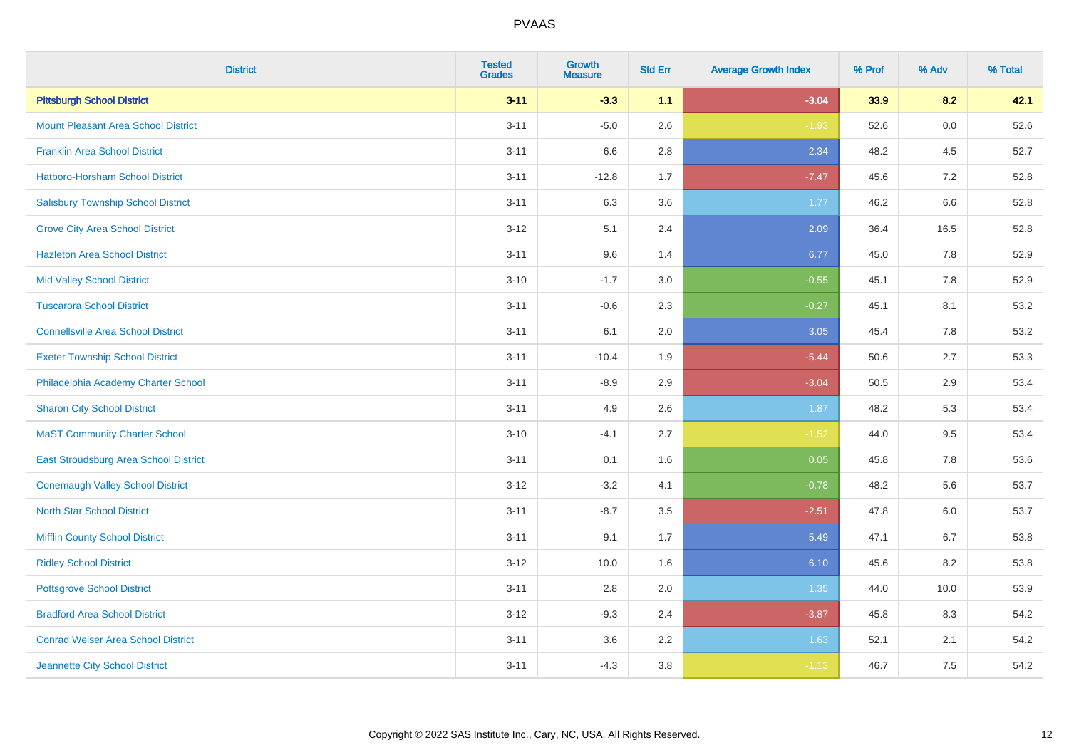| <b>District</b>                            | <b>Tested</b><br><b>Grades</b> | <b>Growth</b><br><b>Measure</b> | <b>Std Err</b> | <b>Average Growth Index</b> | % Prof | % Adv | % Total |
|--------------------------------------------|--------------------------------|---------------------------------|----------------|-----------------------------|--------|-------|---------|
| <b>Pittsburgh School District</b>          | $3 - 11$                       | $-3.3$                          | 1.1            | $-3.04$                     | 33.9   | 8.2   | 42.1    |
| <b>Mount Pleasant Area School District</b> | $3 - 11$                       | $-5.0$                          | 2.6            | $-1.93$                     | 52.6   | 0.0   | 52.6    |
| <b>Franklin Area School District</b>       | $3 - 11$                       | 6.6                             | 2.8            | 2.34                        | 48.2   | 4.5   | 52.7    |
| Hatboro-Horsham School District            | $3 - 11$                       | $-12.8$                         | 1.7            | $-7.47$                     | 45.6   | 7.2   | 52.8    |
| <b>Salisbury Township School District</b>  | $3 - 11$                       | 6.3                             | 3.6            | 1.77                        | 46.2   | 6.6   | 52.8    |
| <b>Grove City Area School District</b>     | $3 - 12$                       | 5.1                             | 2.4            | 2.09                        | 36.4   | 16.5  | 52.8    |
| <b>Hazleton Area School District</b>       | $3 - 11$                       | 9.6                             | 1.4            | 6.77                        | 45.0   | 7.8   | 52.9    |
| <b>Mid Valley School District</b>          | $3 - 10$                       | $-1.7$                          | 3.0            | $-0.55$                     | 45.1   | 7.8   | 52.9    |
| <b>Tuscarora School District</b>           | $3 - 11$                       | $-0.6$                          | 2.3            | $-0.27$                     | 45.1   | 8.1   | 53.2    |
| <b>Connellsville Area School District</b>  | $3 - 11$                       | 6.1                             | 2.0            | 3.05                        | 45.4   | 7.8   | 53.2    |
| <b>Exeter Township School District</b>     | $3 - 11$                       | $-10.4$                         | 1.9            | $-5.44$                     | 50.6   | 2.7   | 53.3    |
| Philadelphia Academy Charter School        | $3 - 11$                       | $-8.9$                          | 2.9            | $-3.04$                     | 50.5   | 2.9   | 53.4    |
| <b>Sharon City School District</b>         | $3 - 11$                       | 4.9                             | 2.6            | 1.87                        | 48.2   | 5.3   | 53.4    |
| <b>MaST Community Charter School</b>       | $3 - 10$                       | $-4.1$                          | 2.7            | $-1.52$                     | 44.0   | 9.5   | 53.4    |
| East Stroudsburg Area School District      | $3 - 11$                       | 0.1                             | 1.6            | 0.05                        | 45.8   | 7.8   | 53.6    |
| <b>Conemaugh Valley School District</b>    | $3 - 12$                       | $-3.2$                          | 4.1            | $-0.78$                     | 48.2   | 5.6   | 53.7    |
| <b>North Star School District</b>          | $3 - 11$                       | $-8.7$                          | 3.5            | $-2.51$                     | 47.8   | 6.0   | 53.7    |
| <b>Mifflin County School District</b>      | $3 - 11$                       | 9.1                             | 1.7            | 5.49                        | 47.1   | 6.7   | 53.8    |
| <b>Ridley School District</b>              | $3 - 12$                       | 10.0                            | 1.6            | 6.10                        | 45.6   | 8.2   | 53.8    |
| <b>Pottsgrove School District</b>          | $3 - 11$                       | 2.8                             | 2.0            | 1.35                        | 44.0   | 10.0  | 53.9    |
| <b>Bradford Area School District</b>       | $3 - 12$                       | $-9.3$                          | 2.4            | $-3.87$                     | 45.8   | 8.3   | 54.2    |
| <b>Conrad Weiser Area School District</b>  | $3 - 11$                       | 3.6                             | 2.2            | 1.63                        | 52.1   | 2.1   | 54.2    |
| Jeannette City School District             | $3 - 11$                       | $-4.3$                          | 3.8            | $-1.13$                     | 46.7   | 7.5   | 54.2    |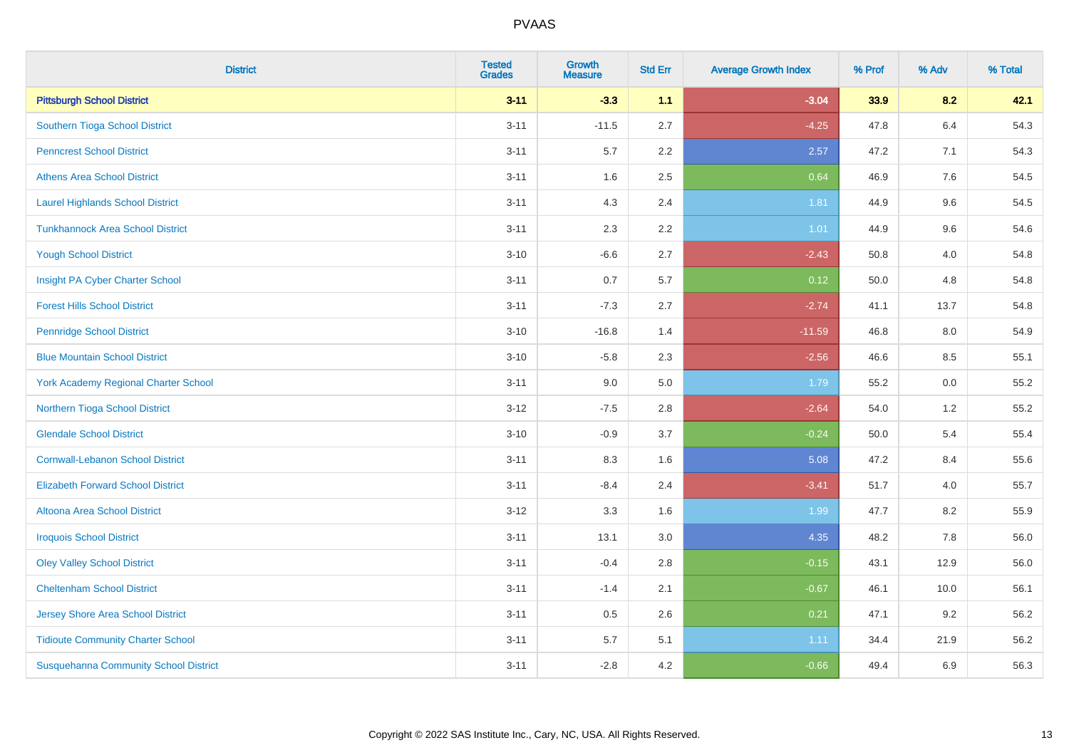| <b>District</b>                              | <b>Tested</b><br><b>Grades</b> | <b>Growth</b><br><b>Measure</b> | <b>Std Err</b> | <b>Average Growth Index</b> | % Prof | % Adv   | % Total |
|----------------------------------------------|--------------------------------|---------------------------------|----------------|-----------------------------|--------|---------|---------|
| <b>Pittsburgh School District</b>            | $3 - 11$                       | $-3.3$                          | 1.1            | $-3.04$                     | 33.9   | 8.2     | 42.1    |
| Southern Tioga School District               | $3 - 11$                       | $-11.5$                         | 2.7            | $-4.25$                     | 47.8   | $6.4\,$ | 54.3    |
| <b>Penncrest School District</b>             | $3 - 11$                       | 5.7                             | 2.2            | 2.57                        | 47.2   | 7.1     | 54.3    |
| <b>Athens Area School District</b>           | $3 - 11$                       | 1.6                             | 2.5            | 0.64                        | 46.9   | 7.6     | 54.5    |
| <b>Laurel Highlands School District</b>      | $3 - 11$                       | 4.3                             | 2.4            | 1.81                        | 44.9   | 9.6     | 54.5    |
| <b>Tunkhannock Area School District</b>      | $3 - 11$                       | 2.3                             | 2.2            | $1.01$                      | 44.9   | 9.6     | 54.6    |
| <b>Yough School District</b>                 | $3 - 10$                       | $-6.6$                          | 2.7            | $-2.43$                     | 50.8   | 4.0     | 54.8    |
| Insight PA Cyber Charter School              | $3 - 11$                       | 0.7                             | 5.7            | 0.12                        | 50.0   | 4.8     | 54.8    |
| <b>Forest Hills School District</b>          | $3 - 11$                       | $-7.3$                          | 2.7            | $-2.74$                     | 41.1   | 13.7    | 54.8    |
| <b>Pennridge School District</b>             | $3 - 10$                       | $-16.8$                         | 1.4            | $-11.59$                    | 46.8   | 8.0     | 54.9    |
| <b>Blue Mountain School District</b>         | $3 - 10$                       | $-5.8$                          | 2.3            | $-2.56$                     | 46.6   | 8.5     | 55.1    |
| <b>York Academy Regional Charter School</b>  | $3 - 11$                       | 9.0                             | 5.0            | 1.79                        | 55.2   | 0.0     | 55.2    |
| Northern Tioga School District               | $3 - 12$                       | $-7.5$                          | 2.8            | $-2.64$                     | 54.0   | 1.2     | 55.2    |
| <b>Glendale School District</b>              | $3 - 10$                       | $-0.9$                          | 3.7            | $-0.24$                     | 50.0   | 5.4     | 55.4    |
| <b>Cornwall-Lebanon School District</b>      | $3 - 11$                       | 8.3                             | 1.6            | 5.08                        | 47.2   | 8.4     | 55.6    |
| <b>Elizabeth Forward School District</b>     | $3 - 11$                       | $-8.4$                          | 2.4            | $-3.41$                     | 51.7   | 4.0     | 55.7    |
| <b>Altoona Area School District</b>          | $3 - 12$                       | 3.3                             | 1.6            | 1.99                        | 47.7   | 8.2     | 55.9    |
| <b>Iroquois School District</b>              | $3 - 11$                       | 13.1                            | 3.0            | 4.35                        | 48.2   | 7.8     | 56.0    |
| <b>Oley Valley School District</b>           | $3 - 11$                       | $-0.4$                          | 2.8            | $-0.15$                     | 43.1   | 12.9    | 56.0    |
| <b>Cheltenham School District</b>            | $3 - 11$                       | $-1.4$                          | 2.1            | $-0.67$                     | 46.1   | 10.0    | 56.1    |
| Jersey Shore Area School District            | $3 - 11$                       | 0.5                             | 2.6            | 0.21                        | 47.1   | 9.2     | 56.2    |
| <b>Tidioute Community Charter School</b>     | $3 - 11$                       | 5.7                             | 5.1            | 1.11                        | 34.4   | 21.9    | 56.2    |
| <b>Susquehanna Community School District</b> | $3 - 11$                       | $-2.8$                          | 4.2            | $-0.66$                     | 49.4   | 6.9     | 56.3    |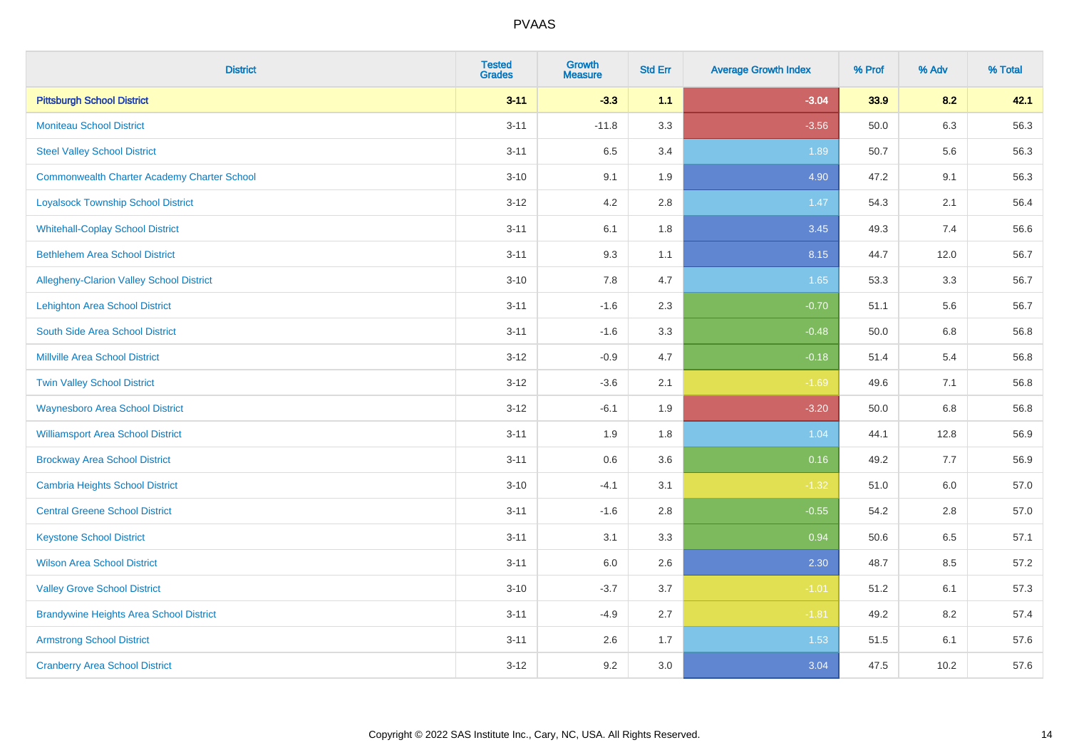| <b>District</b>                                    | <b>Tested</b><br><b>Grades</b> | <b>Growth</b><br><b>Measure</b> | <b>Std Err</b> | <b>Average Growth Index</b> | % Prof | % Adv | % Total |
|----------------------------------------------------|--------------------------------|---------------------------------|----------------|-----------------------------|--------|-------|---------|
| <b>Pittsburgh School District</b>                  | $3 - 11$                       | $-3.3$                          | 1.1            | $-3.04$                     | 33.9   | 8.2   | 42.1    |
| <b>Moniteau School District</b>                    | $3 - 11$                       | $-11.8$                         | 3.3            | $-3.56$                     | 50.0   | 6.3   | 56.3    |
| <b>Steel Valley School District</b>                | $3 - 11$                       | 6.5                             | 3.4            | 1.89                        | 50.7   | 5.6   | 56.3    |
| <b>Commonwealth Charter Academy Charter School</b> | $3 - 10$                       | 9.1                             | 1.9            | 4.90                        | 47.2   | 9.1   | 56.3    |
| <b>Loyalsock Township School District</b>          | $3 - 12$                       | 4.2                             | 2.8            | 1.47                        | 54.3   | 2.1   | 56.4    |
| <b>Whitehall-Coplay School District</b>            | $3 - 11$                       | 6.1                             | 1.8            | 3.45                        | 49.3   | 7.4   | 56.6    |
| <b>Bethlehem Area School District</b>              | $3 - 11$                       | 9.3                             | 1.1            | 8.15                        | 44.7   | 12.0  | 56.7    |
| Allegheny-Clarion Valley School District           | $3 - 10$                       | 7.8                             | 4.7            | 1.65                        | 53.3   | 3.3   | 56.7    |
| <b>Lehighton Area School District</b>              | $3 - 11$                       | $-1.6$                          | 2.3            | $-0.70$                     | 51.1   | 5.6   | 56.7    |
| South Side Area School District                    | $3 - 11$                       | $-1.6$                          | 3.3            | $-0.48$                     | 50.0   | 6.8   | 56.8    |
| <b>Millville Area School District</b>              | $3 - 12$                       | $-0.9$                          | 4.7            | $-0.18$                     | 51.4   | 5.4   | 56.8    |
| <b>Twin Valley School District</b>                 | $3 - 12$                       | $-3.6$                          | 2.1            | $-1.69$                     | 49.6   | 7.1   | 56.8    |
| <b>Waynesboro Area School District</b>             | $3 - 12$                       | $-6.1$                          | 1.9            | $-3.20$                     | 50.0   | 6.8   | 56.8    |
| <b>Williamsport Area School District</b>           | $3 - 11$                       | 1.9                             | 1.8            | 1.04                        | 44.1   | 12.8  | 56.9    |
| <b>Brockway Area School District</b>               | $3 - 11$                       | $0.6\,$                         | 3.6            | 0.16                        | 49.2   | 7.7   | 56.9    |
| <b>Cambria Heights School District</b>             | $3 - 10$                       | $-4.1$                          | 3.1            | $-1.32$                     | 51.0   | 6.0   | 57.0    |
| <b>Central Greene School District</b>              | $3 - 11$                       | $-1.6$                          | 2.8            | $-0.55$                     | 54.2   | 2.8   | 57.0    |
| <b>Keystone School District</b>                    | $3 - 11$                       | 3.1                             | 3.3            | 0.94                        | 50.6   | 6.5   | 57.1    |
| <b>Wilson Area School District</b>                 | $3 - 11$                       | 6.0                             | 2.6            | 2.30                        | 48.7   | 8.5   | 57.2    |
| <b>Valley Grove School District</b>                | $3 - 10$                       | $-3.7$                          | 3.7            | $-1.01$                     | 51.2   | 6.1   | 57.3    |
| <b>Brandywine Heights Area School District</b>     | $3 - 11$                       | $-4.9$                          | 2.7            | $-1.81$                     | 49.2   | 8.2   | 57.4    |
| <b>Armstrong School District</b>                   | $3 - 11$                       | 2.6                             | 1.7            | 1.53                        | 51.5   | 6.1   | 57.6    |
| <b>Cranberry Area School District</b>              | $3 - 12$                       | 9.2                             | 3.0            | 3.04                        | 47.5   | 10.2  | 57.6    |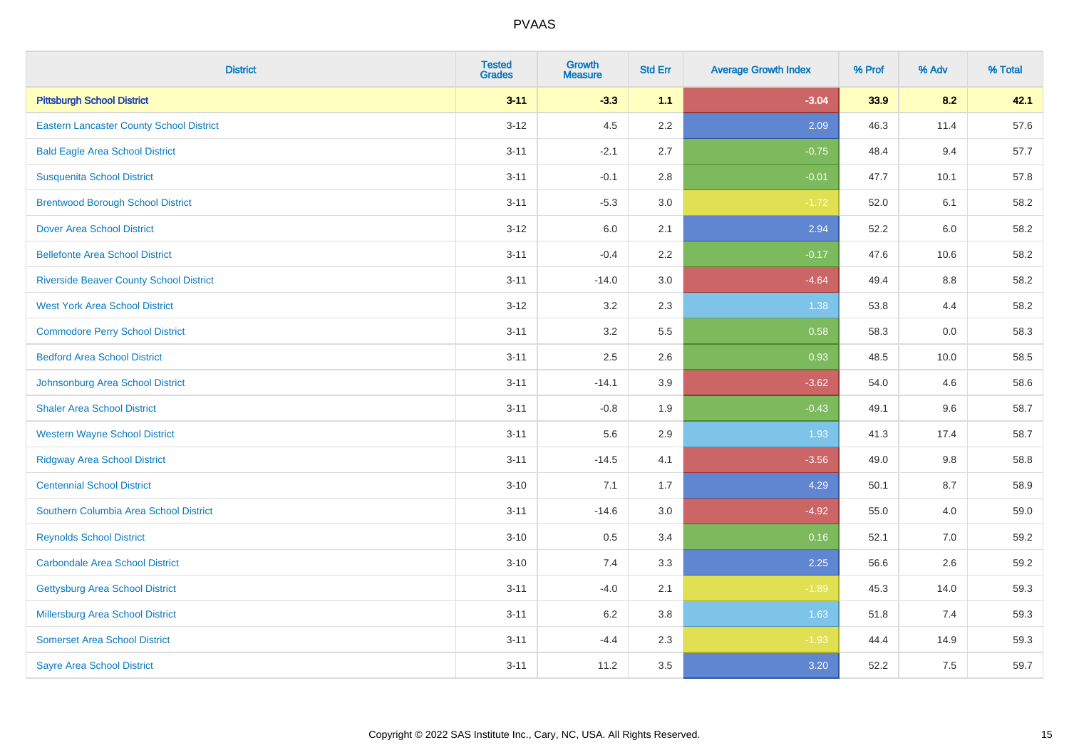| <b>District</b>                                 | <b>Tested</b><br><b>Grades</b> | Growth<br><b>Measure</b> | <b>Std Err</b> | <b>Average Growth Index</b> | % Prof | % Adv | % Total |
|-------------------------------------------------|--------------------------------|--------------------------|----------------|-----------------------------|--------|-------|---------|
| <b>Pittsburgh School District</b>               | $3 - 11$                       | $-3.3$                   | 1.1            | $-3.04$                     | 33.9   | 8.2   | 42.1    |
| <b>Eastern Lancaster County School District</b> | $3 - 12$                       | 4.5                      | 2.2            | 2.09                        | 46.3   | 11.4  | 57.6    |
| <b>Bald Eagle Area School District</b>          | $3 - 11$                       | $-2.1$                   | 2.7            | $-0.75$                     | 48.4   | 9.4   | 57.7    |
| <b>Susquenita School District</b>               | $3 - 11$                       | $-0.1$                   | 2.8            | $-0.01$                     | 47.7   | 10.1  | 57.8    |
| <b>Brentwood Borough School District</b>        | $3 - 11$                       | $-5.3$                   | 3.0            | $-1.72$                     | 52.0   | 6.1   | 58.2    |
| <b>Dover Area School District</b>               | $3 - 12$                       | 6.0                      | 2.1            | 2.94                        | 52.2   | 6.0   | 58.2    |
| <b>Bellefonte Area School District</b>          | $3 - 11$                       | $-0.4$                   | 2.2            | $-0.17$                     | 47.6   | 10.6  | 58.2    |
| <b>Riverside Beaver County School District</b>  | $3 - 11$                       | $-14.0$                  | 3.0            | $-4.64$                     | 49.4   | 8.8   | 58.2    |
| <b>West York Area School District</b>           | $3 - 12$                       | 3.2                      | 2.3            | 1.38                        | 53.8   | 4.4   | 58.2    |
| <b>Commodore Perry School District</b>          | $3 - 11$                       | 3.2                      | 5.5            | 0.58                        | 58.3   | 0.0   | 58.3    |
| <b>Bedford Area School District</b>             | $3 - 11$                       | 2.5                      | 2.6            | 0.93                        | 48.5   | 10.0  | 58.5    |
| Johnsonburg Area School District                | $3 - 11$                       | $-14.1$                  | 3.9            | $-3.62$                     | 54.0   | 4.6   | 58.6    |
| <b>Shaler Area School District</b>              | $3 - 11$                       | $-0.8$                   | 1.9            | $-0.43$                     | 49.1   | 9.6   | 58.7    |
| <b>Western Wayne School District</b>            | $3 - 11$                       | 5.6                      | 2.9            | 1.93                        | 41.3   | 17.4  | 58.7    |
| <b>Ridgway Area School District</b>             | $3 - 11$                       | $-14.5$                  | 4.1            | $-3.56$                     | 49.0   | 9.8   | 58.8    |
| <b>Centennial School District</b>               | $3 - 10$                       | 7.1                      | 1.7            | 4.29                        | 50.1   | 8.7   | 58.9    |
| Southern Columbia Area School District          | $3 - 11$                       | $-14.6$                  | 3.0            | $-4.92$                     | 55.0   | 4.0   | 59.0    |
| <b>Reynolds School District</b>                 | $3 - 10$                       | 0.5                      | 3.4            | 0.16                        | 52.1   | 7.0   | 59.2    |
| <b>Carbondale Area School District</b>          | $3 - 10$                       | 7.4                      | 3.3            | 2.25                        | 56.6   | 2.6   | 59.2    |
| <b>Gettysburg Area School District</b>          | $3 - 11$                       | $-4.0$                   | 2.1            | $-1.89$                     | 45.3   | 14.0  | 59.3    |
| Millersburg Area School District                | $3 - 11$                       | 6.2                      | 3.8            | 1.63                        | 51.8   | 7.4   | 59.3    |
| <b>Somerset Area School District</b>            | $3 - 11$                       | $-4.4$                   | 2.3            | $-1.93$                     | 44.4   | 14.9  | 59.3    |
| <b>Sayre Area School District</b>               | $3 - 11$                       | 11.2                     | $3.5\,$        | 3.20                        | 52.2   | 7.5   | 59.7    |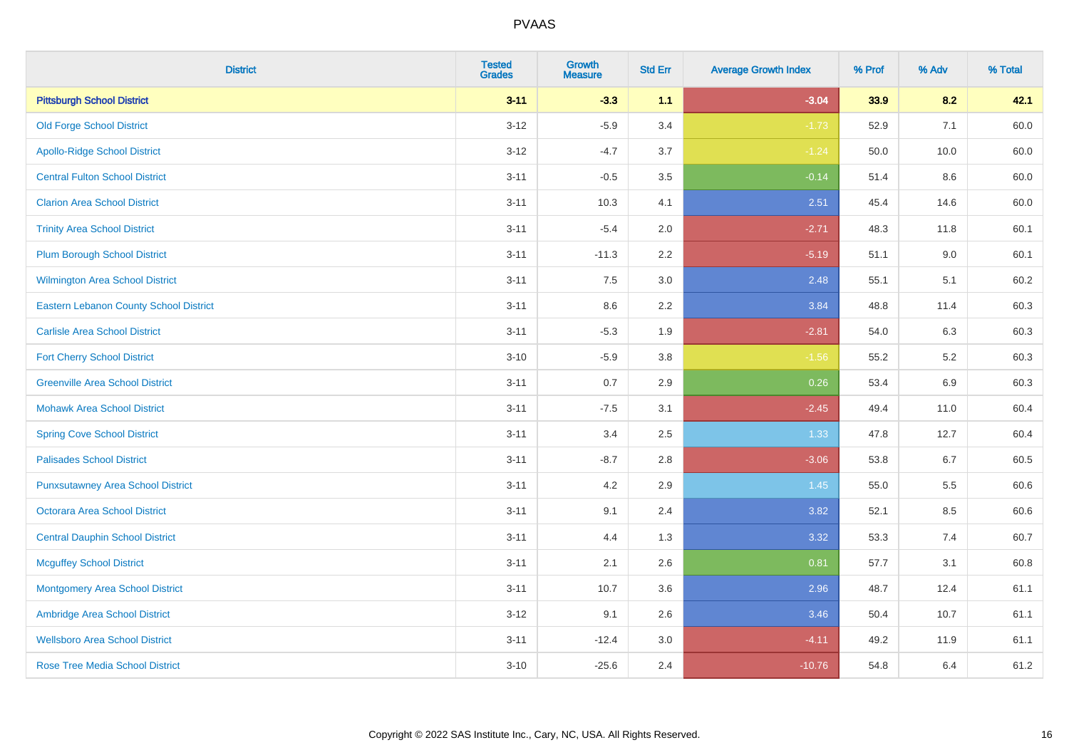| <b>District</b>                               | <b>Tested</b><br><b>Grades</b> | <b>Growth</b><br><b>Measure</b> | <b>Std Err</b> | <b>Average Growth Index</b> | % Prof | % Adv   | % Total |
|-----------------------------------------------|--------------------------------|---------------------------------|----------------|-----------------------------|--------|---------|---------|
| <b>Pittsburgh School District</b>             | $3 - 11$                       | $-3.3$                          | 1.1            | $-3.04$                     | 33.9   | 8.2     | 42.1    |
| <b>Old Forge School District</b>              | $3 - 12$                       | $-5.9$                          | 3.4            | $-1.73$                     | 52.9   | 7.1     | 60.0    |
| <b>Apollo-Ridge School District</b>           | $3-12$                         | $-4.7$                          | 3.7            | $-1.24$                     | 50.0   | 10.0    | 60.0    |
| <b>Central Fulton School District</b>         | $3 - 11$                       | $-0.5$                          | 3.5            | $-0.14$                     | 51.4   | 8.6     | 60.0    |
| <b>Clarion Area School District</b>           | $3 - 11$                       | 10.3                            | 4.1            | 2.51                        | 45.4   | 14.6    | 60.0    |
| <b>Trinity Area School District</b>           | $3 - 11$                       | $-5.4$                          | 2.0            | $-2.71$                     | 48.3   | 11.8    | 60.1    |
| <b>Plum Borough School District</b>           | $3 - 11$                       | $-11.3$                         | 2.2            | $-5.19$                     | 51.1   | $9.0\,$ | 60.1    |
| <b>Wilmington Area School District</b>        | $3 - 11$                       | 7.5                             | 3.0            | 2.48                        | 55.1   | 5.1     | 60.2    |
| <b>Eastern Lebanon County School District</b> | $3 - 11$                       | 8.6                             | 2.2            | 3.84                        | 48.8   | 11.4    | 60.3    |
| <b>Carlisle Area School District</b>          | $3 - 11$                       | $-5.3$                          | 1.9            | $-2.81$                     | 54.0   | 6.3     | 60.3    |
| <b>Fort Cherry School District</b>            | $3 - 10$                       | $-5.9$                          | 3.8            | $-1.56$                     | 55.2   | $5.2\,$ | 60.3    |
| <b>Greenville Area School District</b>        | $3 - 11$                       | 0.7                             | 2.9            | 0.26                        | 53.4   | 6.9     | 60.3    |
| <b>Mohawk Area School District</b>            | $3 - 11$                       | $-7.5$                          | 3.1            | $-2.45$                     | 49.4   | 11.0    | 60.4    |
| <b>Spring Cove School District</b>            | $3 - 11$                       | 3.4                             | 2.5            | 1.33                        | 47.8   | 12.7    | 60.4    |
| <b>Palisades School District</b>              | $3 - 11$                       | $-8.7$                          | 2.8            | $-3.06$                     | 53.8   | $6.7\,$ | 60.5    |
| <b>Punxsutawney Area School District</b>      | $3 - 11$                       | 4.2                             | 2.9            | 1.45                        | 55.0   | 5.5     | 60.6    |
| <b>Octorara Area School District</b>          | $3 - 11$                       | 9.1                             | 2.4            | 3.82                        | 52.1   | 8.5     | 60.6    |
| <b>Central Dauphin School District</b>        | $3 - 11$                       | 4.4                             | 1.3            | 3.32                        | 53.3   | 7.4     | 60.7    |
| <b>Mcguffey School District</b>               | $3 - 11$                       | 2.1                             | 2.6            | 0.81                        | 57.7   | 3.1     | 60.8    |
| <b>Montgomery Area School District</b>        | $3 - 11$                       | 10.7                            | 3.6            | 2.96                        | 48.7   | 12.4    | 61.1    |
| Ambridge Area School District                 | $3 - 12$                       | 9.1                             | 2.6            | 3.46                        | 50.4   | 10.7    | 61.1    |
| <b>Wellsboro Area School District</b>         | $3 - 11$                       | $-12.4$                         | 3.0            | $-4.11$                     | 49.2   | 11.9    | 61.1    |
| <b>Rose Tree Media School District</b>        | $3 - 10$                       | $-25.6$                         | 2.4            | $-10.76$                    | 54.8   | 6.4     | 61.2    |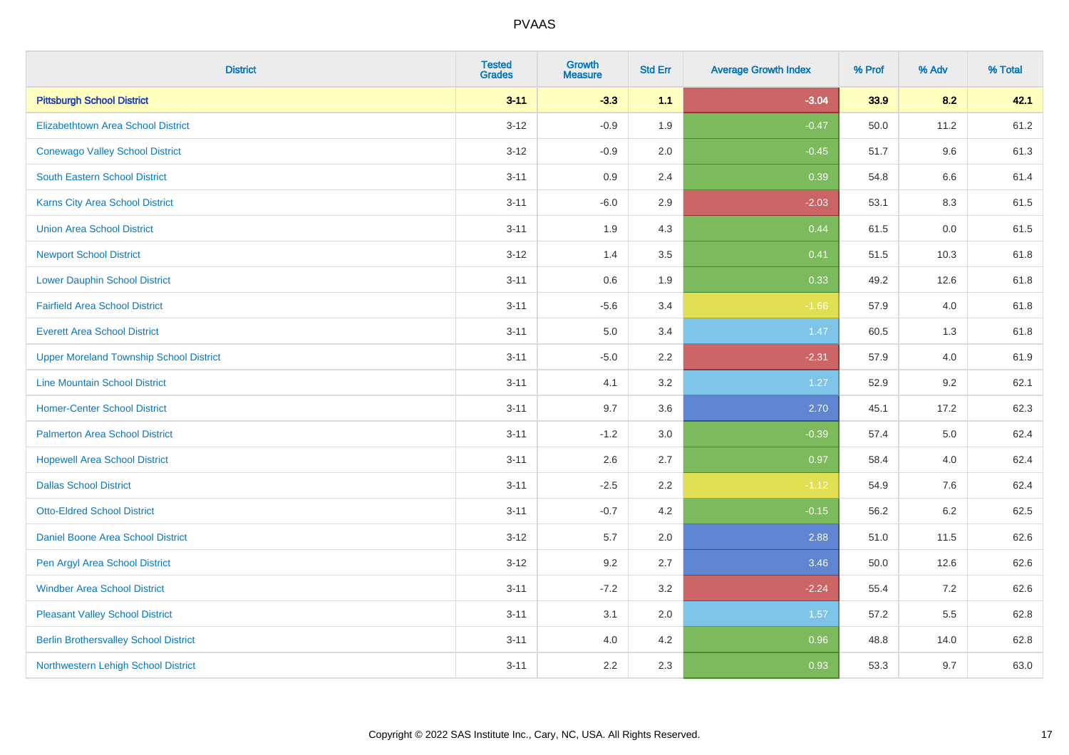| <b>District</b>                                | <b>Tested</b><br><b>Grades</b> | <b>Growth</b><br><b>Measure</b> | <b>Std Err</b> | <b>Average Growth Index</b> | % Prof | % Adv   | % Total |
|------------------------------------------------|--------------------------------|---------------------------------|----------------|-----------------------------|--------|---------|---------|
| <b>Pittsburgh School District</b>              | $3 - 11$                       | $-3.3$                          | 1.1            | $-3.04$                     | 33.9   | 8.2     | 42.1    |
| <b>Elizabethtown Area School District</b>      | $3 - 12$                       | $-0.9$                          | 1.9            | $-0.47$                     | 50.0   | 11.2    | 61.2    |
| <b>Conewago Valley School District</b>         | $3 - 12$                       | $-0.9$                          | 2.0            | $-0.45$                     | 51.7   | 9.6     | 61.3    |
| <b>South Eastern School District</b>           | $3 - 11$                       | 0.9                             | 2.4            | 0.39                        | 54.8   | $6.6\,$ | 61.4    |
| Karns City Area School District                | $3 - 11$                       | $-6.0$                          | 2.9            | $-2.03$                     | 53.1   | 8.3     | 61.5    |
| <b>Union Area School District</b>              | $3 - 11$                       | 1.9                             | 4.3            | 0.44                        | 61.5   | 0.0     | 61.5    |
| <b>Newport School District</b>                 | $3 - 12$                       | 1.4                             | 3.5            | 0.41                        | 51.5   | 10.3    | 61.8    |
| <b>Lower Dauphin School District</b>           | $3 - 11$                       | 0.6                             | 1.9            | 0.33                        | 49.2   | 12.6    | 61.8    |
| <b>Fairfield Area School District</b>          | $3 - 11$                       | $-5.6$                          | 3.4            | $-1.66$                     | 57.9   | 4.0     | 61.8    |
| <b>Everett Area School District</b>            | $3 - 11$                       | 5.0                             | 3.4            | 1.47                        | 60.5   | 1.3     | 61.8    |
| <b>Upper Moreland Township School District</b> | $3 - 11$                       | $-5.0$                          | 2.2            | $-2.31$                     | 57.9   | 4.0     | 61.9    |
| <b>Line Mountain School District</b>           | $3 - 11$                       | 4.1                             | 3.2            | 1.27                        | 52.9   | 9.2     | 62.1    |
| <b>Homer-Center School District</b>            | $3 - 11$                       | 9.7                             | 3.6            | 2.70                        | 45.1   | 17.2    | 62.3    |
| <b>Palmerton Area School District</b>          | $3 - 11$                       | $-1.2$                          | 3.0            | $-0.39$                     | 57.4   | 5.0     | 62.4    |
| <b>Hopewell Area School District</b>           | $3 - 11$                       | 2.6                             | 2.7            | 0.97                        | 58.4   | 4.0     | 62.4    |
| <b>Dallas School District</b>                  | $3 - 11$                       | $-2.5$                          | 2.2            | $-1.12$                     | 54.9   | 7.6     | 62.4    |
| <b>Otto-Eldred School District</b>             | $3 - 11$                       | $-0.7$                          | 4.2            | $-0.15$                     | 56.2   | 6.2     | 62.5    |
| Daniel Boone Area School District              | $3 - 12$                       | 5.7                             | 2.0            | 2.88                        | 51.0   | 11.5    | 62.6    |
| Pen Argyl Area School District                 | $3 - 12$                       | 9.2                             | 2.7            | 3.46                        | 50.0   | 12.6    | 62.6    |
| <b>Windber Area School District</b>            | $3 - 11$                       | $-7.2$                          | 3.2            | $-2.24$                     | 55.4   | 7.2     | 62.6    |
| <b>Pleasant Valley School District</b>         | $3 - 11$                       | 3.1                             | 2.0            | 1.57                        | 57.2   | 5.5     | 62.8    |
| <b>Berlin Brothersvalley School District</b>   | $3 - 11$                       | 4.0                             | 4.2            | 0.96                        | 48.8   | 14.0    | 62.8    |
| Northwestern Lehigh School District            | $3 - 11$                       | 2.2                             | 2.3            | 0.93                        | 53.3   | 9.7     | 63.0    |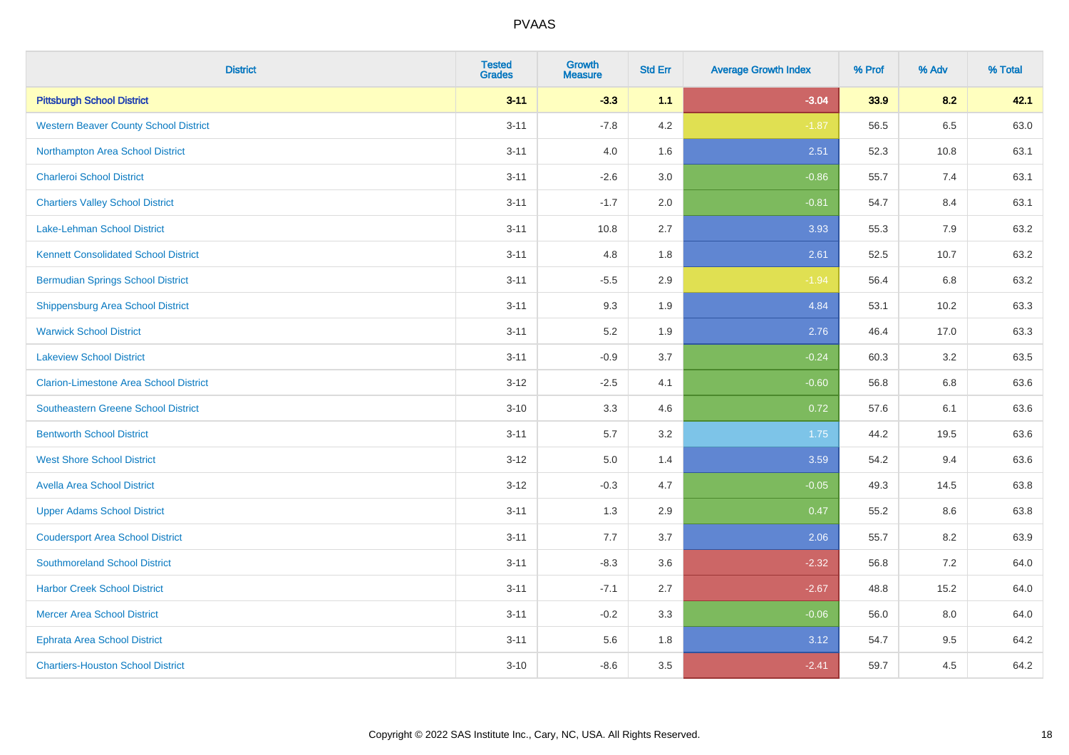| <b>District</b>                               | <b>Tested</b><br><b>Grades</b> | <b>Growth</b><br><b>Measure</b> | <b>Std Err</b> | <b>Average Growth Index</b> | % Prof | % Adv | % Total |
|-----------------------------------------------|--------------------------------|---------------------------------|----------------|-----------------------------|--------|-------|---------|
| <b>Pittsburgh School District</b>             | $3 - 11$                       | $-3.3$                          | 1.1            | $-3.04$                     | 33.9   | 8.2   | 42.1    |
| <b>Western Beaver County School District</b>  | $3 - 11$                       | $-7.8$                          | 4.2            | $-1.87$                     | 56.5   | 6.5   | 63.0    |
| Northampton Area School District              | $3 - 11$                       | 4.0                             | 1.6            | 2.51                        | 52.3   | 10.8  | 63.1    |
| <b>Charleroi School District</b>              | $3 - 11$                       | $-2.6$                          | 3.0            | $-0.86$                     | 55.7   | 7.4   | 63.1    |
| <b>Chartiers Valley School District</b>       | $3 - 11$                       | $-1.7$                          | 2.0            | $-0.81$                     | 54.7   | 8.4   | 63.1    |
| <b>Lake-Lehman School District</b>            | $3 - 11$                       | 10.8                            | 2.7            | 3.93                        | 55.3   | 7.9   | 63.2    |
| <b>Kennett Consolidated School District</b>   | $3 - 11$                       | 4.8                             | 1.8            | 2.61                        | 52.5   | 10.7  | 63.2    |
| <b>Bermudian Springs School District</b>      | $3 - 11$                       | $-5.5$                          | 2.9            | $-1.94$                     | 56.4   | 6.8   | 63.2    |
| <b>Shippensburg Area School District</b>      | $3 - 11$                       | 9.3                             | 1.9            | 4.84                        | 53.1   | 10.2  | 63.3    |
| <b>Warwick School District</b>                | $3 - 11$                       | 5.2                             | 1.9            | 2.76                        | 46.4   | 17.0  | 63.3    |
| <b>Lakeview School District</b>               | $3 - 11$                       | $-0.9$                          | 3.7            | $-0.24$                     | 60.3   | 3.2   | 63.5    |
| <b>Clarion-Limestone Area School District</b> | $3 - 12$                       | $-2.5$                          | 4.1            | $-0.60$                     | 56.8   | 6.8   | 63.6    |
| Southeastern Greene School District           | $3 - 10$                       | 3.3                             | 4.6            | 0.72                        | 57.6   | 6.1   | 63.6    |
| <b>Bentworth School District</b>              | $3 - 11$                       | 5.7                             | 3.2            | 1.75                        | 44.2   | 19.5  | 63.6    |
| <b>West Shore School District</b>             | $3 - 12$                       | $5.0\,$                         | 1.4            | 3.59                        | 54.2   | 9.4   | 63.6    |
| <b>Avella Area School District</b>            | $3 - 12$                       | $-0.3$                          | 4.7            | $-0.05$                     | 49.3   | 14.5  | 63.8    |
| <b>Upper Adams School District</b>            | $3 - 11$                       | 1.3                             | 2.9            | 0.47                        | 55.2   | 8.6   | 63.8    |
| <b>Coudersport Area School District</b>       | $3 - 11$                       | 7.7                             | 3.7            | 2.06                        | 55.7   | 8.2   | 63.9    |
| <b>Southmoreland School District</b>          | $3 - 11$                       | $-8.3$                          | 3.6            | $-2.32$                     | 56.8   | 7.2   | 64.0    |
| <b>Harbor Creek School District</b>           | $3 - 11$                       | $-7.1$                          | 2.7            | $-2.67$                     | 48.8   | 15.2  | 64.0    |
| <b>Mercer Area School District</b>            | $3 - 11$                       | $-0.2$                          | 3.3            | $-0.06$                     | 56.0   | 8.0   | 64.0    |
| <b>Ephrata Area School District</b>           | $3 - 11$                       | 5.6                             | 1.8            | 3.12                        | 54.7   | 9.5   | 64.2    |
| <b>Chartiers-Houston School District</b>      | $3 - 10$                       | $-8.6$                          | 3.5            | $-2.41$                     | 59.7   | 4.5   | 64.2    |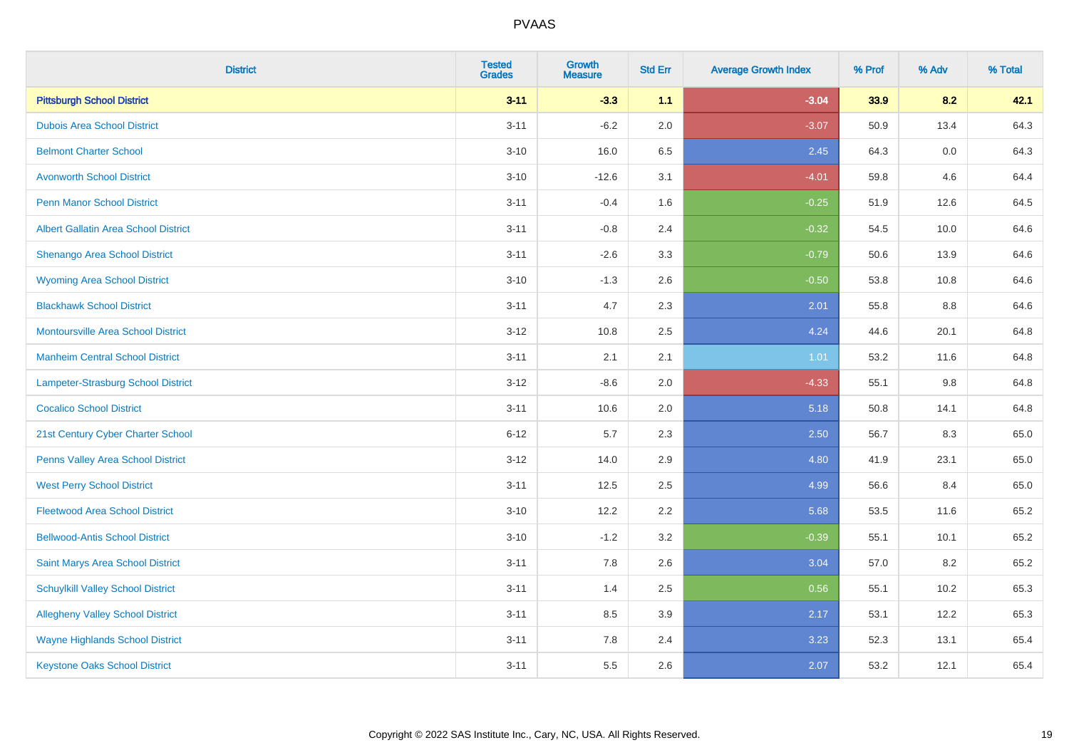| <b>District</b>                             | <b>Tested</b><br><b>Grades</b> | <b>Growth</b><br><b>Measure</b> | <b>Std Err</b> | <b>Average Growth Index</b> | % Prof | % Adv | % Total |
|---------------------------------------------|--------------------------------|---------------------------------|----------------|-----------------------------|--------|-------|---------|
| <b>Pittsburgh School District</b>           | $3 - 11$                       | $-3.3$                          | 1.1            | $-3.04$                     | 33.9   | 8.2   | 42.1    |
| <b>Dubois Area School District</b>          | $3 - 11$                       | $-6.2$                          | 2.0            | $-3.07$                     | 50.9   | 13.4  | 64.3    |
| <b>Belmont Charter School</b>               | $3 - 10$                       | 16.0                            | 6.5            | 2.45                        | 64.3   | 0.0   | 64.3    |
| <b>Avonworth School District</b>            | $3 - 10$                       | $-12.6$                         | 3.1            | $-4.01$                     | 59.8   | 4.6   | 64.4    |
| <b>Penn Manor School District</b>           | $3 - 11$                       | $-0.4$                          | 1.6            | $-0.25$                     | 51.9   | 12.6  | 64.5    |
| <b>Albert Gallatin Area School District</b> | $3 - 11$                       | $-0.8$                          | 2.4            | $-0.32$                     | 54.5   | 10.0  | 64.6    |
| Shenango Area School District               | $3 - 11$                       | $-2.6$                          | 3.3            | $-0.79$                     | 50.6   | 13.9  | 64.6    |
| <b>Wyoming Area School District</b>         | $3 - 10$                       | $-1.3$                          | 2.6            | $-0.50$                     | 53.8   | 10.8  | 64.6    |
| <b>Blackhawk School District</b>            | $3 - 11$                       | 4.7                             | 2.3            | 2.01                        | 55.8   | 8.8   | 64.6    |
| <b>Montoursville Area School District</b>   | $3 - 12$                       | 10.8                            | 2.5            | 4.24                        | 44.6   | 20.1  | 64.8    |
| <b>Manheim Central School District</b>      | $3 - 11$                       | 2.1                             | 2.1            | 1.01                        | 53.2   | 11.6  | 64.8    |
| <b>Lampeter-Strasburg School District</b>   | $3 - 12$                       | $-8.6$                          | 2.0            | $-4.33$                     | 55.1   | 9.8   | 64.8    |
| <b>Cocalico School District</b>             | $3 - 11$                       | 10.6                            | 2.0            | 5.18                        | 50.8   | 14.1  | 64.8    |
| 21st Century Cyber Charter School           | $6 - 12$                       | 5.7                             | 2.3            | 2.50                        | 56.7   | 8.3   | 65.0    |
| Penns Valley Area School District           | $3 - 12$                       | 14.0                            | 2.9            | 4.80                        | 41.9   | 23.1  | 65.0    |
| <b>West Perry School District</b>           | $3 - 11$                       | 12.5                            | 2.5            | 4.99                        | 56.6   | 8.4   | 65.0    |
| <b>Fleetwood Area School District</b>       | $3 - 10$                       | 12.2                            | 2.2            | 5.68                        | 53.5   | 11.6  | 65.2    |
| <b>Bellwood-Antis School District</b>       | $3 - 10$                       | $-1.2$                          | 3.2            | $-0.39$                     | 55.1   | 10.1  | 65.2    |
| Saint Marys Area School District            | $3 - 11$                       | 7.8                             | 2.6            | 3.04                        | 57.0   | 8.2   | 65.2    |
| <b>Schuylkill Valley School District</b>    | $3 - 11$                       | 1.4                             | 2.5            | 0.56                        | 55.1   | 10.2  | 65.3    |
| <b>Allegheny Valley School District</b>     | $3 - 11$                       | 8.5                             | 3.9            | 2.17                        | 53.1   | 12.2  | 65.3    |
| <b>Wayne Highlands School District</b>      | $3 - 11$                       | 7.8                             | 2.4            | 3.23                        | 52.3   | 13.1  | 65.4    |
| <b>Keystone Oaks School District</b>        | $3 - 11$                       | 5.5                             | 2.6            | 2.07                        | 53.2   | 12.1  | 65.4    |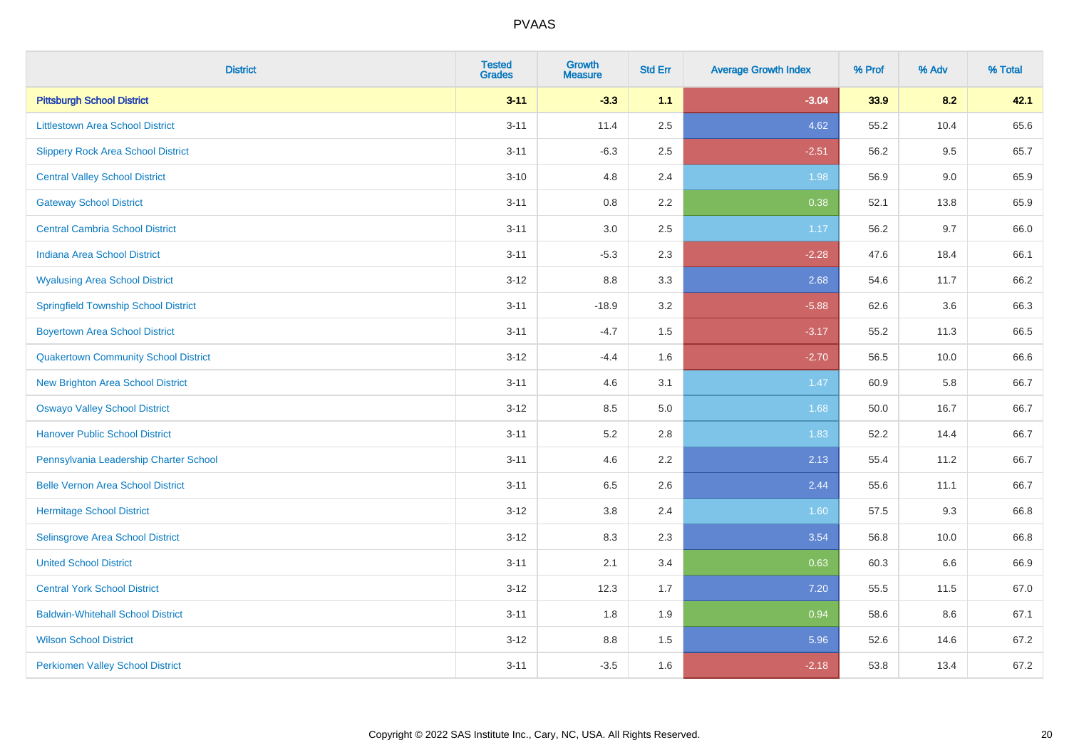| <b>District</b>                             | <b>Tested</b><br><b>Grades</b> | Growth<br><b>Measure</b> | <b>Std Err</b> | <b>Average Growth Index</b> | % Prof | % Adv | % Total |
|---------------------------------------------|--------------------------------|--------------------------|----------------|-----------------------------|--------|-------|---------|
| <b>Pittsburgh School District</b>           | $3 - 11$                       | $-3.3$                   | 1.1            | $-3.04$                     | 33.9   | 8.2   | 42.1    |
| <b>Littlestown Area School District</b>     | $3 - 11$                       | 11.4                     | 2.5            | 4.62                        | 55.2   | 10.4  | 65.6    |
| <b>Slippery Rock Area School District</b>   | $3 - 11$                       | $-6.3$                   | 2.5            | $-2.51$                     | 56.2   | 9.5   | 65.7    |
| <b>Central Valley School District</b>       | $3 - 10$                       | 4.8                      | 2.4            | 1.98                        | 56.9   | 9.0   | 65.9    |
| <b>Gateway School District</b>              | $3 - 11$                       | 0.8                      | 2.2            | 0.38                        | 52.1   | 13.8  | 65.9    |
| <b>Central Cambria School District</b>      | $3 - 11$                       | 3.0                      | 2.5            | 1.17                        | 56.2   | 9.7   | 66.0    |
| <b>Indiana Area School District</b>         | $3 - 11$                       | $-5.3$                   | 2.3            | $-2.28$                     | 47.6   | 18.4  | 66.1    |
| <b>Wyalusing Area School District</b>       | $3 - 12$                       | $8.8\,$                  | 3.3            | 2.68                        | 54.6   | 11.7  | 66.2    |
| <b>Springfield Township School District</b> | $3 - 11$                       | $-18.9$                  | 3.2            | $-5.88$                     | 62.6   | 3.6   | 66.3    |
| <b>Boyertown Area School District</b>       | $3 - 11$                       | $-4.7$                   | 1.5            | $-3.17$                     | 55.2   | 11.3  | 66.5    |
| <b>Quakertown Community School District</b> | $3 - 12$                       | $-4.4$                   | 1.6            | $-2.70$                     | 56.5   | 10.0  | 66.6    |
| <b>New Brighton Area School District</b>    | $3 - 11$                       | 4.6                      | 3.1            | 1.47                        | 60.9   | 5.8   | 66.7    |
| <b>Oswayo Valley School District</b>        | $3 - 12$                       | 8.5                      | 5.0            | 1.68                        | 50.0   | 16.7  | 66.7    |
| <b>Hanover Public School District</b>       | $3 - 11$                       | 5.2                      | $2.8\,$        | 1.83                        | 52.2   | 14.4  | 66.7    |
| Pennsylvania Leadership Charter School      | $3 - 11$                       | 4.6                      | 2.2            | 2.13                        | 55.4   | 11.2  | 66.7    |
| <b>Belle Vernon Area School District</b>    | $3 - 11$                       | 6.5                      | 2.6            | 2.44                        | 55.6   | 11.1  | 66.7    |
| <b>Hermitage School District</b>            | $3 - 12$                       | 3.8                      | 2.4            | 1.60                        | 57.5   | 9.3   | 66.8    |
| Selinsgrove Area School District            | $3 - 12$                       | 8.3                      | 2.3            | 3.54                        | 56.8   | 10.0  | 66.8    |
| <b>United School District</b>               | $3 - 11$                       | 2.1                      | 3.4            | 0.63                        | 60.3   | 6.6   | 66.9    |
| <b>Central York School District</b>         | $3 - 12$                       | 12.3                     | 1.7            | 7.20                        | 55.5   | 11.5  | 67.0    |
| <b>Baldwin-Whitehall School District</b>    | $3 - 11$                       | 1.8                      | 1.9            | 0.94                        | 58.6   | 8.6   | 67.1    |
| <b>Wilson School District</b>               | $3 - 12$                       | 8.8                      | 1.5            | 5.96                        | 52.6   | 14.6  | 67.2    |
| <b>Perkiomen Valley School District</b>     | $3 - 11$                       | $-3.5$                   | 1.6            | $-2.18$                     | 53.8   | 13.4  | 67.2    |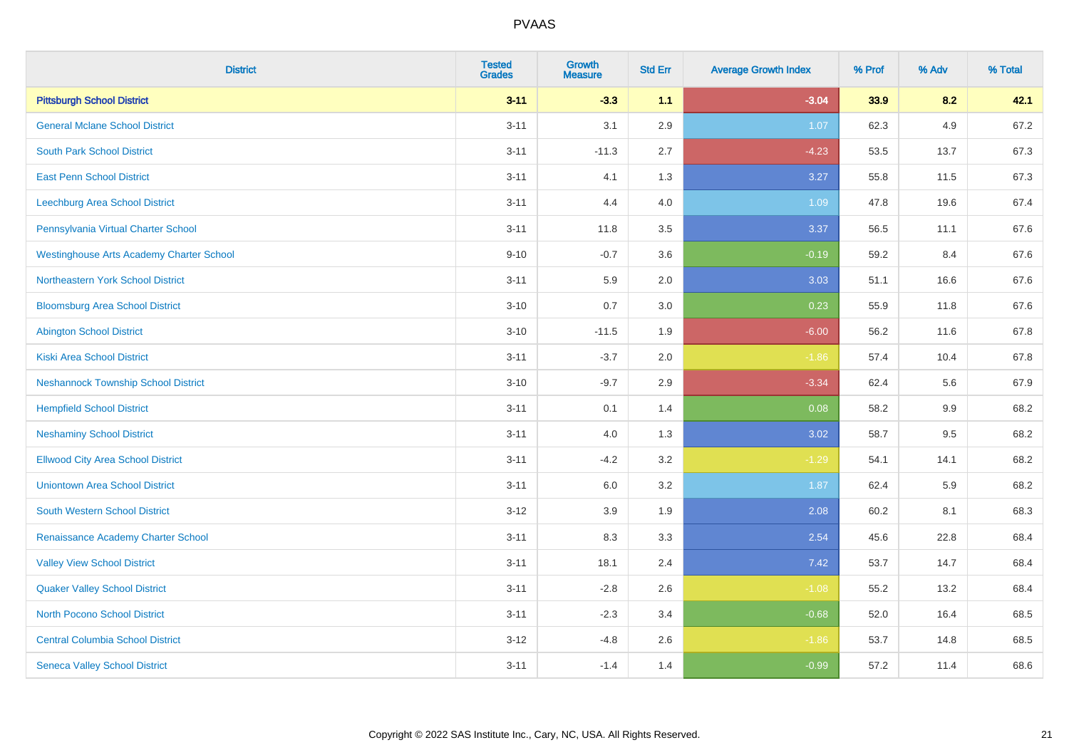| <b>District</b>                                 | <b>Tested</b><br><b>Grades</b> | Growth<br><b>Measure</b> | <b>Std Err</b> | <b>Average Growth Index</b> | % Prof | % Adv | % Total |
|-------------------------------------------------|--------------------------------|--------------------------|----------------|-----------------------------|--------|-------|---------|
| <b>Pittsburgh School District</b>               | $3 - 11$                       | $-3.3$                   | 1.1            | $-3.04$                     | 33.9   | 8.2   | 42.1    |
| <b>General Mclane School District</b>           | $3 - 11$                       | 3.1                      | 2.9            | 1.07                        | 62.3   | 4.9   | 67.2    |
| <b>South Park School District</b>               | $3 - 11$                       | $-11.3$                  | 2.7            | $-4.23$                     | 53.5   | 13.7  | 67.3    |
| <b>East Penn School District</b>                | $3 - 11$                       | 4.1                      | 1.3            | 3.27                        | 55.8   | 11.5  | 67.3    |
| Leechburg Area School District                  | $3 - 11$                       | 4.4                      | 4.0            | 1.09                        | 47.8   | 19.6  | 67.4    |
| Pennsylvania Virtual Charter School             | $3 - 11$                       | 11.8                     | 3.5            | 3.37                        | 56.5   | 11.1  | 67.6    |
| <b>Westinghouse Arts Academy Charter School</b> | $9 - 10$                       | $-0.7$                   | 3.6            | $-0.19$                     | 59.2   | 8.4   | 67.6    |
| <b>Northeastern York School District</b>        | $3 - 11$                       | 5.9                      | 2.0            | 3.03                        | 51.1   | 16.6  | 67.6    |
| <b>Bloomsburg Area School District</b>          | $3 - 10$                       | 0.7                      | 3.0            | 0.23                        | 55.9   | 11.8  | 67.6    |
| <b>Abington School District</b>                 | $3 - 10$                       | $-11.5$                  | 1.9            | $-6.00$                     | 56.2   | 11.6  | 67.8    |
| <b>Kiski Area School District</b>               | $3 - 11$                       | $-3.7$                   | 2.0            | $-1.86$                     | 57.4   | 10.4  | 67.8    |
| <b>Neshannock Township School District</b>      | $3 - 10$                       | $-9.7$                   | 2.9            | $-3.34$                     | 62.4   | 5.6   | 67.9    |
| <b>Hempfield School District</b>                | $3 - 11$                       | 0.1                      | 1.4            | 0.08                        | 58.2   | 9.9   | 68.2    |
| <b>Neshaminy School District</b>                | $3 - 11$                       | $4.0\,$                  | 1.3            | 3.02                        | 58.7   | 9.5   | 68.2    |
| <b>Ellwood City Area School District</b>        | $3 - 11$                       | $-4.2$                   | 3.2            | $-1.29$                     | 54.1   | 14.1  | 68.2    |
| <b>Uniontown Area School District</b>           | $3 - 11$                       | 6.0                      | 3.2            | 1.87                        | 62.4   | 5.9   | 68.2    |
| South Western School District                   | $3 - 12$                       | 3.9                      | 1.9            | 2.08                        | 60.2   | 8.1   | 68.3    |
| Renaissance Academy Charter School              | $3 - 11$                       | 8.3                      | 3.3            | 2.54                        | 45.6   | 22.8  | 68.4    |
| <b>Valley View School District</b>              | $3 - 11$                       | 18.1                     | 2.4            | 7.42                        | 53.7   | 14.7  | 68.4    |
| <b>Quaker Valley School District</b>            | $3 - 11$                       | $-2.8$                   | 2.6            | $-1.08$                     | 55.2   | 13.2  | 68.4    |
| North Pocono School District                    | $3 - 11$                       | $-2.3$                   | 3.4            | $-0.68$                     | 52.0   | 16.4  | 68.5    |
| <b>Central Columbia School District</b>         | $3 - 12$                       | $-4.8$                   | 2.6            | $-1.86$                     | 53.7   | 14.8  | 68.5    |
| <b>Seneca Valley School District</b>            | $3 - 11$                       | $-1.4$                   | 1.4            | $-0.99$                     | 57.2   | 11.4  | 68.6    |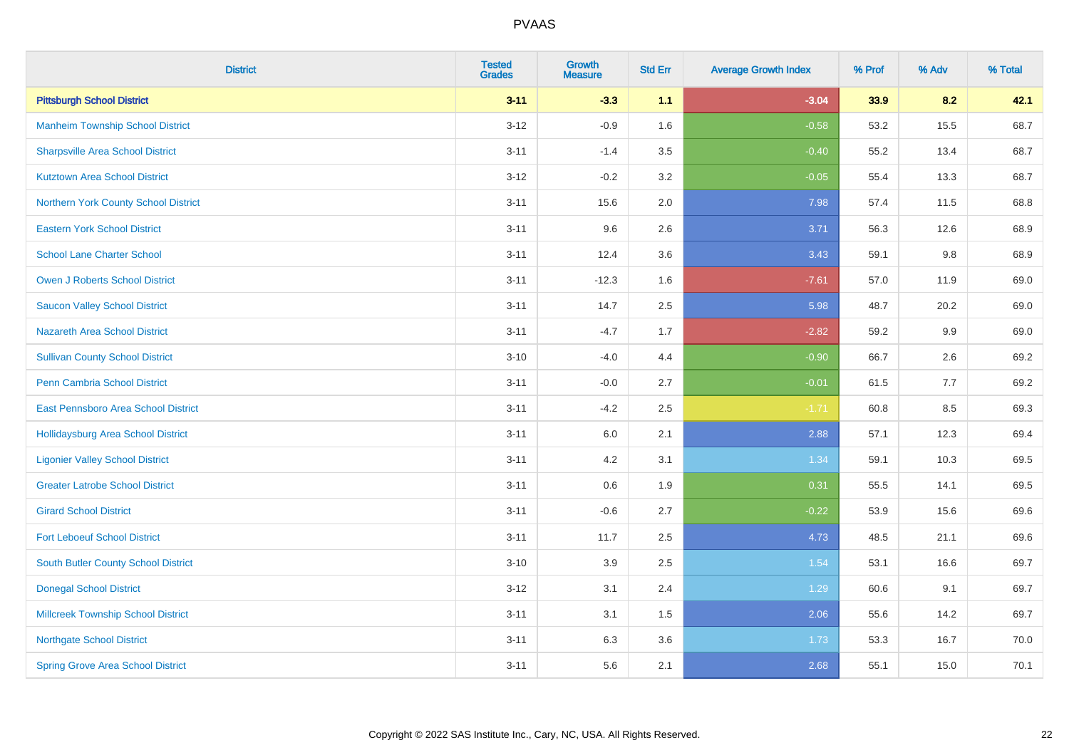| <b>District</b>                           | <b>Tested</b><br><b>Grades</b> | <b>Growth</b><br><b>Measure</b> | <b>Std Err</b> | <b>Average Growth Index</b> | % Prof | % Adv | % Total |
|-------------------------------------------|--------------------------------|---------------------------------|----------------|-----------------------------|--------|-------|---------|
| <b>Pittsburgh School District</b>         | $3 - 11$                       | $-3.3$                          | 1.1            | $-3.04$                     | 33.9   | 8.2   | 42.1    |
| <b>Manheim Township School District</b>   | $3 - 12$                       | $-0.9$                          | 1.6            | $-0.58$                     | 53.2   | 15.5  | 68.7    |
| <b>Sharpsville Area School District</b>   | $3 - 11$                       | $-1.4$                          | 3.5            | $-0.40$                     | 55.2   | 13.4  | 68.7    |
| <b>Kutztown Area School District</b>      | $3 - 12$                       | $-0.2$                          | 3.2            | $-0.05$                     | 55.4   | 13.3  | 68.7    |
| Northern York County School District      | $3 - 11$                       | 15.6                            | 2.0            | 7.98                        | 57.4   | 11.5  | 68.8    |
| <b>Eastern York School District</b>       | $3 - 11$                       | 9.6                             | 2.6            | 3.71                        | 56.3   | 12.6  | 68.9    |
| <b>School Lane Charter School</b>         | $3 - 11$                       | 12.4                            | 3.6            | 3.43                        | 59.1   | 9.8   | 68.9    |
| <b>Owen J Roberts School District</b>     | $3 - 11$                       | $-12.3$                         | 1.6            | $-7.61$                     | 57.0   | 11.9  | 69.0    |
| <b>Saucon Valley School District</b>      | $3 - 11$                       | 14.7                            | 2.5            | 5.98                        | 48.7   | 20.2  | 69.0    |
| <b>Nazareth Area School District</b>      | $3 - 11$                       | $-4.7$                          | 1.7            | $-2.82$                     | 59.2   | 9.9   | 69.0    |
| <b>Sullivan County School District</b>    | $3 - 10$                       | $-4.0$                          | 4.4            | $-0.90$                     | 66.7   | 2.6   | 69.2    |
| Penn Cambria School District              | $3 - 11$                       | $-0.0$                          | 2.7            | $-0.01$                     | 61.5   | 7.7   | 69.2    |
| East Pennsboro Area School District       | $3 - 11$                       | $-4.2$                          | 2.5            | $-1.71$                     | 60.8   | 8.5   | 69.3    |
| <b>Hollidaysburg Area School District</b> | $3 - 11$                       | 6.0                             | 2.1            | 2.88                        | 57.1   | 12.3  | 69.4    |
| <b>Ligonier Valley School District</b>    | $3 - 11$                       | 4.2                             | 3.1            | 1.34                        | 59.1   | 10.3  | 69.5    |
| <b>Greater Latrobe School District</b>    | $3 - 11$                       | 0.6                             | 1.9            | 0.31                        | 55.5   | 14.1  | 69.5    |
| <b>Girard School District</b>             | $3 - 11$                       | $-0.6$                          | 2.7            | $-0.22$                     | 53.9   | 15.6  | 69.6    |
| <b>Fort Leboeuf School District</b>       | $3 - 11$                       | 11.7                            | 2.5            | 4.73                        | 48.5   | 21.1  | 69.6    |
| South Butler County School District       | $3 - 10$                       | 3.9                             | 2.5            | 1.54                        | 53.1   | 16.6  | 69.7    |
| <b>Donegal School District</b>            | $3 - 12$                       | 3.1                             | 2.4            | 1.29                        | 60.6   | 9.1   | 69.7    |
| <b>Millcreek Township School District</b> | $3 - 11$                       | 3.1                             | 1.5            | 2.06                        | 55.6   | 14.2  | 69.7    |
| <b>Northgate School District</b>          | $3 - 11$                       | 6.3                             | 3.6            | 1.73                        | 53.3   | 16.7  | 70.0    |
| <b>Spring Grove Area School District</b>  | $3 - 11$                       | 5.6                             | 2.1            | 2.68                        | 55.1   | 15.0  | 70.1    |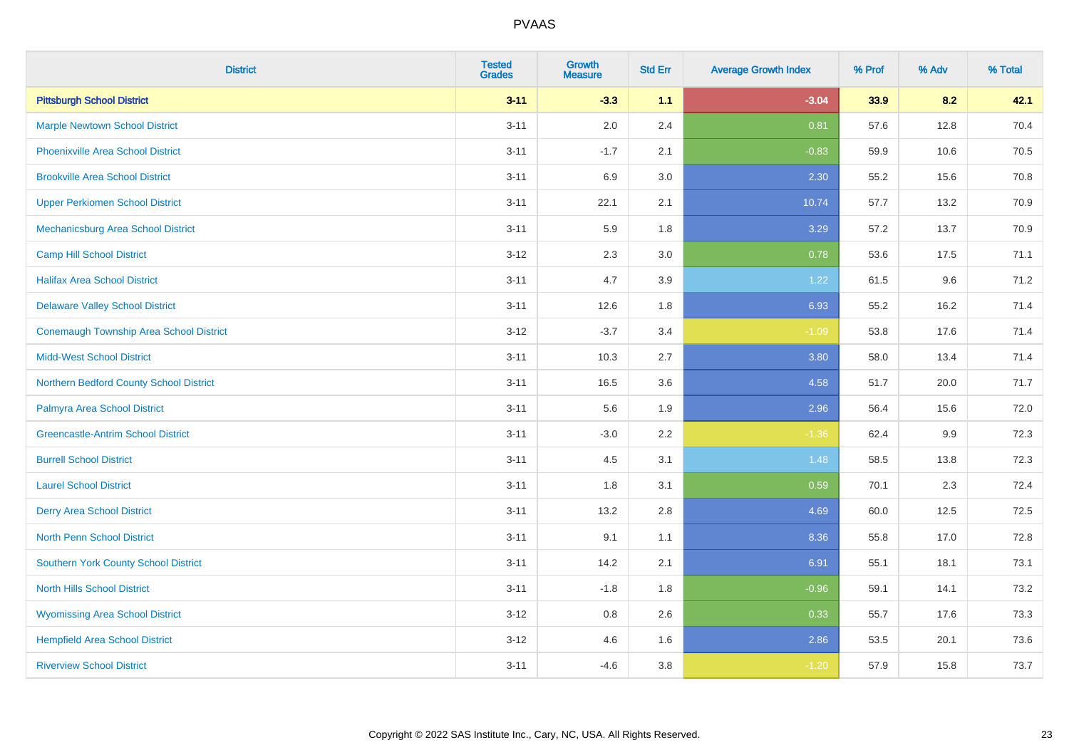| <b>District</b>                                | <b>Tested</b><br><b>Grades</b> | <b>Growth</b><br><b>Measure</b> | <b>Std Err</b> | <b>Average Growth Index</b> | % Prof | % Adv | % Total |
|------------------------------------------------|--------------------------------|---------------------------------|----------------|-----------------------------|--------|-------|---------|
| <b>Pittsburgh School District</b>              | $3 - 11$                       | $-3.3$                          | 1.1            | $-3.04$                     | 33.9   | 8.2   | 42.1    |
| <b>Marple Newtown School District</b>          | $3 - 11$                       | 2.0                             | 2.4            | 0.81                        | 57.6   | 12.8  | 70.4    |
| <b>Phoenixville Area School District</b>       | $3 - 11$                       | $-1.7$                          | 2.1            | $-0.83$                     | 59.9   | 10.6  | 70.5    |
| <b>Brookville Area School District</b>         | $3 - 11$                       | 6.9                             | 3.0            | 2.30                        | 55.2   | 15.6  | 70.8    |
| <b>Upper Perkiomen School District</b>         | $3 - 11$                       | 22.1                            | 2.1            | 10.74                       | 57.7   | 13.2  | 70.9    |
| Mechanicsburg Area School District             | $3 - 11$                       | 5.9                             | 1.8            | 3.29                        | 57.2   | 13.7  | 70.9    |
| <b>Camp Hill School District</b>               | $3 - 12$                       | 2.3                             | 3.0            | 0.78                        | 53.6   | 17.5  | 71.1    |
| <b>Halifax Area School District</b>            | $3 - 11$                       | 4.7                             | 3.9            | 1.22                        | 61.5   | 9.6   | 71.2    |
| <b>Delaware Valley School District</b>         | $3 - 11$                       | 12.6                            | 1.8            | 6.93                        | 55.2   | 16.2  | 71.4    |
| <b>Conemaugh Township Area School District</b> | $3 - 12$                       | $-3.7$                          | 3.4            | $-1.09$                     | 53.8   | 17.6  | 71.4    |
| <b>Midd-West School District</b>               | $3 - 11$                       | 10.3                            | 2.7            | 3.80                        | 58.0   | 13.4  | 71.4    |
| Northern Bedford County School District        | $3 - 11$                       | 16.5                            | 3.6            | 4.58                        | 51.7   | 20.0  | 71.7    |
| Palmyra Area School District                   | $3 - 11$                       | 5.6                             | 1.9            | 2.96                        | 56.4   | 15.6  | 72.0    |
| <b>Greencastle-Antrim School District</b>      | $3 - 11$                       | $-3.0$                          | 2.2            | $-1.36$                     | 62.4   | 9.9   | 72.3    |
| <b>Burrell School District</b>                 | $3 - 11$                       | 4.5                             | 3.1            | 1.48                        | 58.5   | 13.8  | 72.3    |
| <b>Laurel School District</b>                  | $3 - 11$                       | 1.8                             | 3.1            | 0.59                        | 70.1   | 2.3   | 72.4    |
| <b>Derry Area School District</b>              | $3 - 11$                       | 13.2                            | 2.8            | 4.69                        | 60.0   | 12.5  | 72.5    |
| <b>North Penn School District</b>              | $3 - 11$                       | 9.1                             | 1.1            | 8.36                        | 55.8   | 17.0  | 72.8    |
| Southern York County School District           | $3 - 11$                       | 14.2                            | 2.1            | 6.91                        | 55.1   | 18.1  | 73.1    |
| <b>North Hills School District</b>             | $3 - 11$                       | $-1.8$                          | 1.8            | $-0.96$                     | 59.1   | 14.1  | 73.2    |
| <b>Wyomissing Area School District</b>         | $3 - 12$                       | 0.8                             | 2.6            | 0.33                        | 55.7   | 17.6  | 73.3    |
| <b>Hempfield Area School District</b>          | $3 - 12$                       | 4.6                             | 1.6            | 2.86                        | 53.5   | 20.1  | 73.6    |
| <b>Riverview School District</b>               | $3 - 11$                       | $-4.6$                          | 3.8            | $-1.20$                     | 57.9   | 15.8  | 73.7    |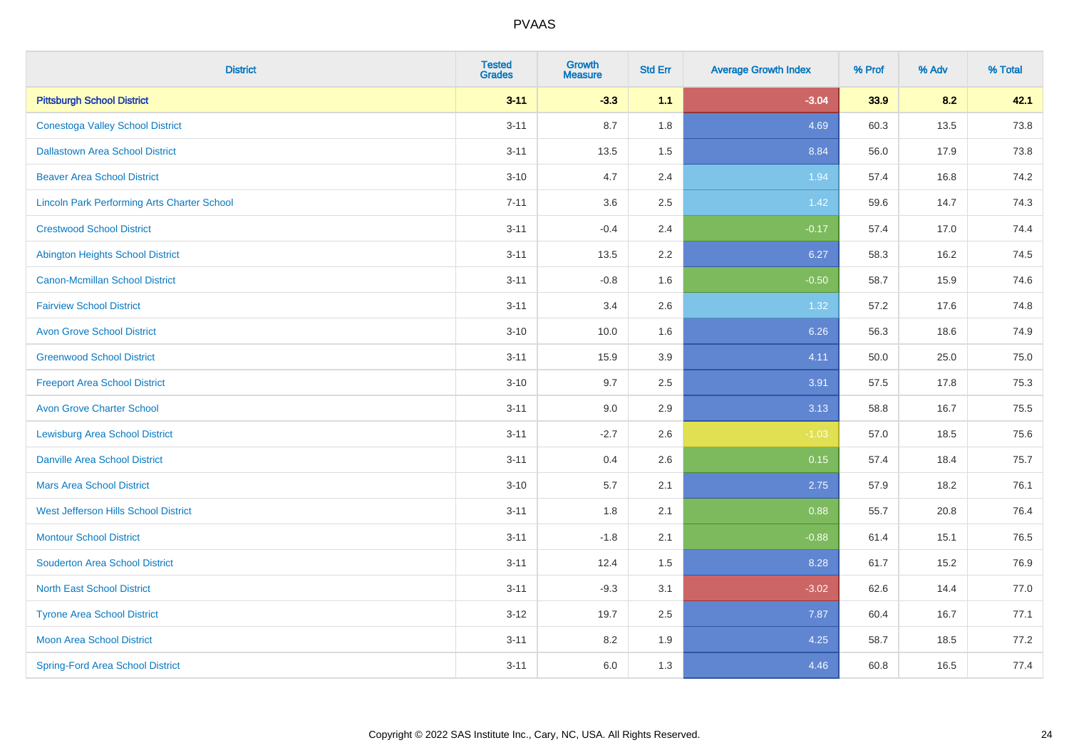| <b>District</b>                                    | <b>Tested</b><br><b>Grades</b> | <b>Growth</b><br><b>Measure</b> | <b>Std Err</b> | <b>Average Growth Index</b> | % Prof | % Adv | % Total |
|----------------------------------------------------|--------------------------------|---------------------------------|----------------|-----------------------------|--------|-------|---------|
| <b>Pittsburgh School District</b>                  | $3 - 11$                       | $-3.3$                          | 1.1            | $-3.04$                     | 33.9   | 8.2   | 42.1    |
| <b>Conestoga Valley School District</b>            | $3 - 11$                       | 8.7                             | 1.8            | 4.69                        | 60.3   | 13.5  | 73.8    |
| <b>Dallastown Area School District</b>             | $3 - 11$                       | 13.5                            | 1.5            | 8.84                        | 56.0   | 17.9  | 73.8    |
| <b>Beaver Area School District</b>                 | $3 - 10$                       | 4.7                             | 2.4            | 1.94                        | 57.4   | 16.8  | 74.2    |
| <b>Lincoln Park Performing Arts Charter School</b> | $7 - 11$                       | 3.6                             | 2.5            | 1.42                        | 59.6   | 14.7  | 74.3    |
| <b>Crestwood School District</b>                   | $3 - 11$                       | $-0.4$                          | 2.4            | $-0.17$                     | 57.4   | 17.0  | 74.4    |
| <b>Abington Heights School District</b>            | $3 - 11$                       | 13.5                            | 2.2            | 6.27                        | 58.3   | 16.2  | 74.5    |
| <b>Canon-Mcmillan School District</b>              | $3 - 11$                       | $-0.8$                          | 1.6            | $-0.50$                     | 58.7   | 15.9  | 74.6    |
| <b>Fairview School District</b>                    | $3 - 11$                       | 3.4                             | 2.6            | 1.32                        | 57.2   | 17.6  | 74.8    |
| <b>Avon Grove School District</b>                  | $3 - 10$                       | 10.0                            | 1.6            | 6.26                        | 56.3   | 18.6  | 74.9    |
| <b>Greenwood School District</b>                   | $3 - 11$                       | 15.9                            | 3.9            | 4.11                        | 50.0   | 25.0  | 75.0    |
| <b>Freeport Area School District</b>               | $3 - 10$                       | 9.7                             | 2.5            | 3.91                        | 57.5   | 17.8  | 75.3    |
| <b>Avon Grove Charter School</b>                   | $3 - 11$                       | 9.0                             | 2.9            | 3.13                        | 58.8   | 16.7  | 75.5    |
| <b>Lewisburg Area School District</b>              | $3 - 11$                       | $-2.7$                          | 2.6            | $-1.03$                     | 57.0   | 18.5  | 75.6    |
| <b>Danville Area School District</b>               | $3 - 11$                       | 0.4                             | 2.6            | 0.15                        | 57.4   | 18.4  | 75.7    |
| <b>Mars Area School District</b>                   | $3 - 10$                       | 5.7                             | 2.1            | 2.75                        | 57.9   | 18.2  | 76.1    |
| West Jefferson Hills School District               | $3 - 11$                       | 1.8                             | 2.1            | 0.88                        | 55.7   | 20.8  | 76.4    |
| <b>Montour School District</b>                     | $3 - 11$                       | $-1.8$                          | 2.1            | $-0.88$                     | 61.4   | 15.1  | 76.5    |
| <b>Souderton Area School District</b>              | $3 - 11$                       | 12.4                            | 1.5            | 8.28                        | 61.7   | 15.2  | 76.9    |
| <b>North East School District</b>                  | $3 - 11$                       | $-9.3$                          | 3.1            | $-3.02$                     | 62.6   | 14.4  | 77.0    |
| <b>Tyrone Area School District</b>                 | $3-12$                         | 19.7                            | 2.5            | 7.87                        | 60.4   | 16.7  | 77.1    |
| <b>Moon Area School District</b>                   | $3 - 11$                       | 8.2                             | 1.9            | 4.25                        | 58.7   | 18.5  | 77.2    |
| <b>Spring-Ford Area School District</b>            | $3 - 11$                       | 6.0                             | 1.3            | 4.46                        | 60.8   | 16.5  | 77.4    |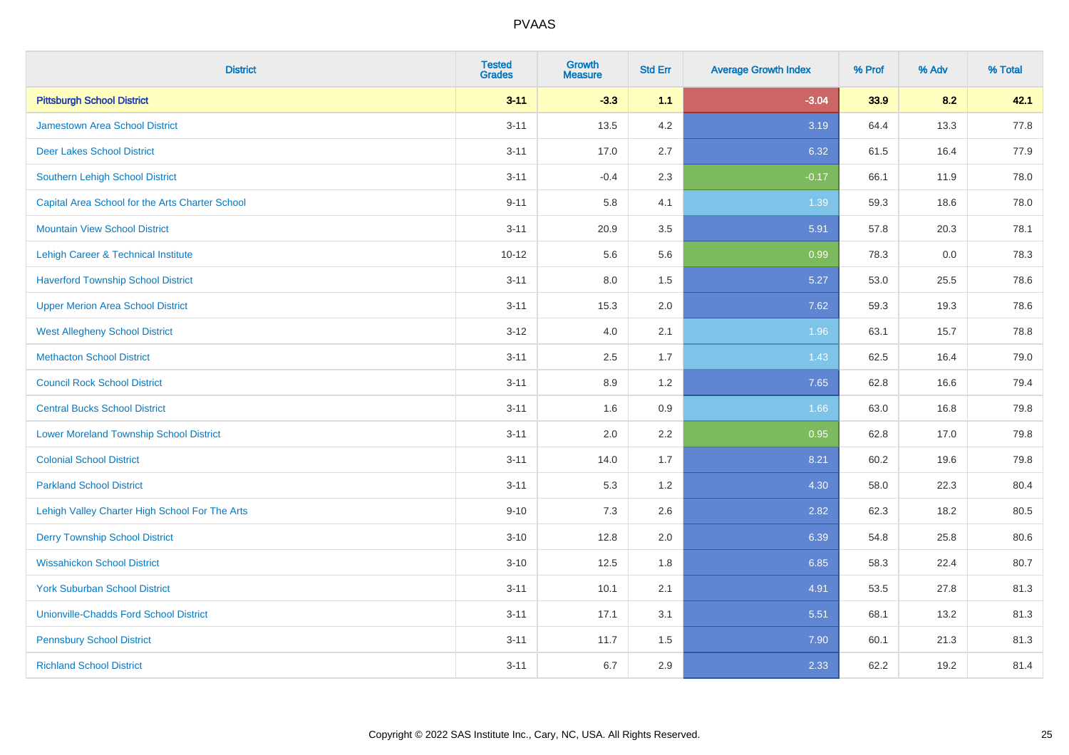| <b>District</b>                                 | <b>Tested</b><br><b>Grades</b> | <b>Growth</b><br><b>Measure</b> | <b>Std Err</b> | <b>Average Growth Index</b> | % Prof | % Adv | % Total |
|-------------------------------------------------|--------------------------------|---------------------------------|----------------|-----------------------------|--------|-------|---------|
| <b>Pittsburgh School District</b>               | $3 - 11$                       | $-3.3$                          | 1.1            | $-3.04$                     | 33.9   | 8.2   | 42.1    |
| <b>Jamestown Area School District</b>           | $3 - 11$                       | 13.5                            | 4.2            | 3.19                        | 64.4   | 13.3  | 77.8    |
| <b>Deer Lakes School District</b>               | $3 - 11$                       | 17.0                            | 2.7            | 6.32                        | 61.5   | 16.4  | 77.9    |
| Southern Lehigh School District                 | $3 - 11$                       | $-0.4$                          | 2.3            | $-0.17$                     | 66.1   | 11.9  | 78.0    |
| Capital Area School for the Arts Charter School | $9 - 11$                       | 5.8                             | 4.1            | 1.39                        | 59.3   | 18.6  | 78.0    |
| <b>Mountain View School District</b>            | $3 - 11$                       | 20.9                            | 3.5            | 5.91                        | 57.8   | 20.3  | 78.1    |
| Lehigh Career & Technical Institute             | $10 - 12$                      | 5.6                             | 5.6            | 0.99                        | 78.3   | 0.0   | 78.3    |
| <b>Haverford Township School District</b>       | $3 - 11$                       | 8.0                             | 1.5            | 5.27                        | 53.0   | 25.5  | 78.6    |
| <b>Upper Merion Area School District</b>        | $3 - 11$                       | 15.3                            | 2.0            | 7.62                        | 59.3   | 19.3  | 78.6    |
| <b>West Allegheny School District</b>           | $3 - 12$                       | 4.0                             | 2.1            | 1.96                        | 63.1   | 15.7  | 78.8    |
| <b>Methacton School District</b>                | $3 - 11$                       | 2.5                             | 1.7            | 1.43                        | 62.5   | 16.4  | 79.0    |
| <b>Council Rock School District</b>             | $3 - 11$                       | 8.9                             | 1.2            | 7.65                        | 62.8   | 16.6  | 79.4    |
| <b>Central Bucks School District</b>            | $3 - 11$                       | 1.6                             | 0.9            | 1.66                        | 63.0   | 16.8  | 79.8    |
| <b>Lower Moreland Township School District</b>  | $3 - 11$                       | 2.0                             | 2.2            | 0.95                        | 62.8   | 17.0  | 79.8    |
| <b>Colonial School District</b>                 | $3 - 11$                       | 14.0                            | 1.7            | 8.21                        | 60.2   | 19.6  | 79.8    |
| <b>Parkland School District</b>                 | $3 - 11$                       | 5.3                             | 1.2            | 4.30                        | 58.0   | 22.3  | 80.4    |
| Lehigh Valley Charter High School For The Arts  | $9 - 10$                       | 7.3                             | 2.6            | 2.82                        | 62.3   | 18.2  | 80.5    |
| <b>Derry Township School District</b>           | $3 - 10$                       | 12.8                            | 2.0            | 6.39                        | 54.8   | 25.8  | 80.6    |
| <b>Wissahickon School District</b>              | $3 - 10$                       | 12.5                            | 1.8            | 6.85                        | 58.3   | 22.4  | 80.7    |
| <b>York Suburban School District</b>            | $3 - 11$                       | 10.1                            | 2.1            | 4.91                        | 53.5   | 27.8  | 81.3    |
| <b>Unionville-Chadds Ford School District</b>   | $3 - 11$                       | 17.1                            | 3.1            | 5.51                        | 68.1   | 13.2  | 81.3    |
| <b>Pennsbury School District</b>                | $3 - 11$                       | 11.7                            | 1.5            | 7.90                        | 60.1   | 21.3  | 81.3    |
| <b>Richland School District</b>                 | $3 - 11$                       | 6.7                             | 2.9            | 2.33                        | 62.2   | 19.2  | 81.4    |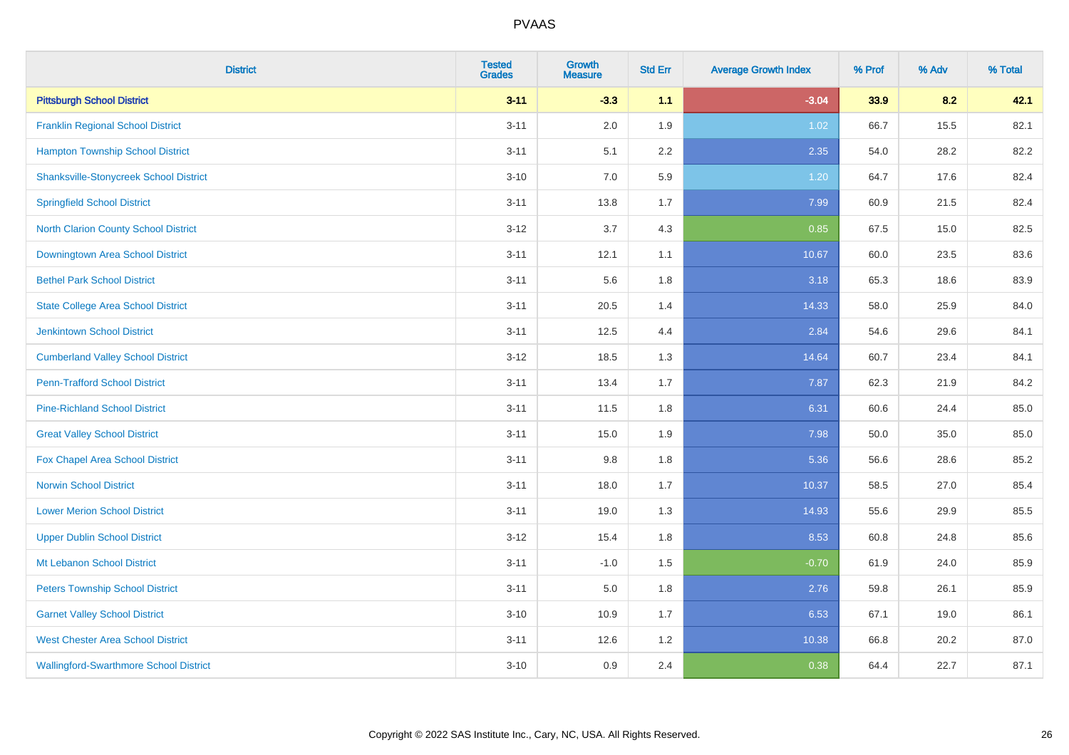| <b>District</b>                               | <b>Tested</b><br><b>Grades</b> | <b>Growth</b><br><b>Measure</b> | <b>Std Err</b> | <b>Average Growth Index</b> | % Prof | % Adv | % Total |
|-----------------------------------------------|--------------------------------|---------------------------------|----------------|-----------------------------|--------|-------|---------|
| <b>Pittsburgh School District</b>             | $3 - 11$                       | $-3.3$                          | 1.1            | $-3.04$                     | 33.9   | 8.2   | 42.1    |
| <b>Franklin Regional School District</b>      | $3 - 11$                       | 2.0                             | 1.9            | 1.02                        | 66.7   | 15.5  | 82.1    |
| <b>Hampton Township School District</b>       | $3 - 11$                       | 5.1                             | 2.2            | 2.35                        | 54.0   | 28.2  | 82.2    |
| <b>Shanksville-Stonycreek School District</b> | $3 - 10$                       | 7.0                             | 5.9            | 1.20                        | 64.7   | 17.6  | 82.4    |
| <b>Springfield School District</b>            | $3 - 11$                       | 13.8                            | 1.7            | 7.99                        | 60.9   | 21.5  | 82.4    |
| <b>North Clarion County School District</b>   | $3 - 12$                       | 3.7                             | 4.3            | 0.85                        | 67.5   | 15.0  | 82.5    |
| <b>Downingtown Area School District</b>       | $3 - 11$                       | 12.1                            | 1.1            | 10.67                       | 60.0   | 23.5  | 83.6    |
| <b>Bethel Park School District</b>            | $3 - 11$                       | 5.6                             | 1.8            | 3.18                        | 65.3   | 18.6  | 83.9    |
| <b>State College Area School District</b>     | $3 - 11$                       | 20.5                            | 1.4            | 14.33                       | 58.0   | 25.9  | 84.0    |
| <b>Jenkintown School District</b>             | $3 - 11$                       | 12.5                            | 4.4            | 2.84                        | 54.6   | 29.6  | 84.1    |
| <b>Cumberland Valley School District</b>      | $3 - 12$                       | 18.5                            | 1.3            | 14.64                       | 60.7   | 23.4  | 84.1    |
| <b>Penn-Trafford School District</b>          | $3 - 11$                       | 13.4                            | 1.7            | 7.87                        | 62.3   | 21.9  | 84.2    |
| <b>Pine-Richland School District</b>          | $3 - 11$                       | 11.5                            | 1.8            | 6.31                        | 60.6   | 24.4  | 85.0    |
| <b>Great Valley School District</b>           | $3 - 11$                       | 15.0                            | 1.9            | 7.98                        | 50.0   | 35.0  | 85.0    |
| Fox Chapel Area School District               | $3 - 11$                       | 9.8                             | 1.8            | 5.36                        | 56.6   | 28.6  | 85.2    |
| <b>Norwin School District</b>                 | $3 - 11$                       | 18.0                            | 1.7            | 10.37                       | 58.5   | 27.0  | 85.4    |
| <b>Lower Merion School District</b>           | $3 - 11$                       | 19.0                            | 1.3            | 14.93                       | 55.6   | 29.9  | 85.5    |
| <b>Upper Dublin School District</b>           | $3 - 12$                       | 15.4                            | 1.8            | 8.53                        | 60.8   | 24.8  | 85.6    |
| Mt Lebanon School District                    | $3 - 11$                       | $-1.0$                          | 1.5            | $-0.70$                     | 61.9   | 24.0  | 85.9    |
| <b>Peters Township School District</b>        | $3 - 11$                       | 5.0                             | 1.8            | 2.76                        | 59.8   | 26.1  | 85.9    |
| <b>Garnet Valley School District</b>          | $3 - 10$                       | 10.9                            | 1.7            | 6.53                        | 67.1   | 19.0  | 86.1    |
| <b>West Chester Area School District</b>      | $3 - 11$                       | 12.6                            | 1.2            | 10.38                       | 66.8   | 20.2  | 87.0    |
| <b>Wallingford-Swarthmore School District</b> | $3 - 10$                       | 0.9                             | 2.4            | 0.38                        | 64.4   | 22.7  | 87.1    |